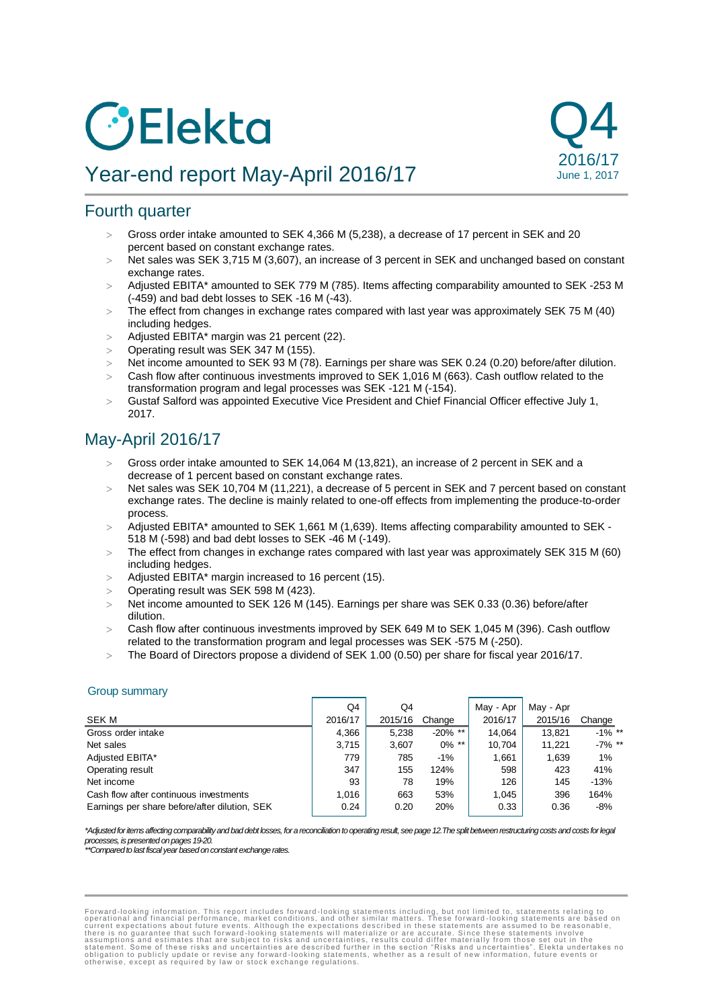# *C* Elekta

# Year-end report May-April 2016/17



# Fourth quarter

- Gross order intake amounted to SEK 4,366 M (5,238), a decrease of 17 percent in SEK and 20 percent based on constant exchange rates.
- Net sales was SEK 3,715 M (3,607), an increase of 3 percent in SEK and unchanged based on constant exchange rates.
- Adjusted EBITA\* amounted to SEK 779 M (785). Items affecting comparability amounted to SEK -253 M (-459) and bad debt losses to SEK -16 M (-43).
- $>$  The effect from changes in exchange rates compared with last year was approximately SEK 75 M (40) including hedges.
- $>$  Adjusted EBITA\* margin was 21 percent (22).
- Operating result was SEK 347 M (155).
- Net income amounted to SEK 93 M (78). Earnings per share was SEK 0.24 (0.20) before/after dilution.
- Cash flow after continuous investments improved to SEK 1,016 M (663). Cash outflow related to the transformation program and legal processes was SEK -121 M (-154).
- $>$  Gustaf Salford was appointed Executive Vice President and Chief Financial Officer effective July 1, 2017.

# May-April 2016/17

- Gross order intake amounted to SEK 14,064 M (13,821), an increase of 2 percent in SEK and a decrease of 1 percent based on constant exchange rates.
- Net sales was SEK 10,704 M (11,221), a decrease of 5 percent in SEK and 7 percent based on constant exchange rates. The decline is mainly related to one-off effects from implementing the produce-to-order process.
- > Adjusted EBITA\* amounted to SEK 1,661 M (1,639). Items affecting comparability amounted to SEK -518 M (-598) and bad debt losses to SEK -46 M (-149).
- The effect from changes in exchange rates compared with last year was approximately SEK 315 M (60) including hedges.
- $>$  Adjusted EBITA\* margin increased to 16 percent (15).
- Operating result was SEK 598 M (423).
- Net income amounted to SEK 126 M (145). Earnings per share was SEK 0.33 (0.36) before/after dilution.
- Cash flow after continuous investments improved by SEK 649 M to SEK 1,045 M (396). Cash outflow related to the transformation program and legal processes was SEK -575 M (-250).
- The Board of Directors propose a dividend of SEK 1.00 (0.50) per share for fiscal year 2016/17.

#### Group summary

|                                               | Q4      | Q4      |            | May - Apr | May - Apr |           |
|-----------------------------------------------|---------|---------|------------|-----------|-----------|-----------|
| SEK M                                         | 2016/17 | 2015/16 | Change     | 2016/17   | 2015/16   | Change    |
| Gross order intake                            | 4,366   | 5,238   | $-20\%$ ** | 14.064    | 13.821    | $-1\%$ ** |
| Net sales                                     | 3.715   | 3,607   | $0\%$ **   | 10.704    | 11.221    | $-7\%$ ** |
| Adjusted EBITA*                               | 779     | 785     | $-1%$      | 1.661     | 1,639     | $1\%$     |
| Operating result                              | 347     | 155     | 124%       | 598       | 423       | 41%       |
| Net income                                    | 93      | 78      | 19%        | 126       | 145       | $-13%$    |
| Cash flow after continuous investments        | 1.016   | 663     | 53%        | 1.045     | 396       | 164%      |
| Earnings per share before/after dilution, SEK | 0.24    | 0.20    | 20%        | 0.33      | 0.36      | $-8%$     |

*\*Adjusted for items affecting comparability and bad debt losses, for a reconciliation to operating result, see page 12.The split between restructuring costs and costs for legal processes, is presented on pages 19-20.*

*\*\*Compared to last fiscal year based on constant exchange rates.*

Forward-looking information. This report includes forward-looking statements including, but not limited to, statements relating to<br>operational and financial performance, market conditions, and other similar matters. These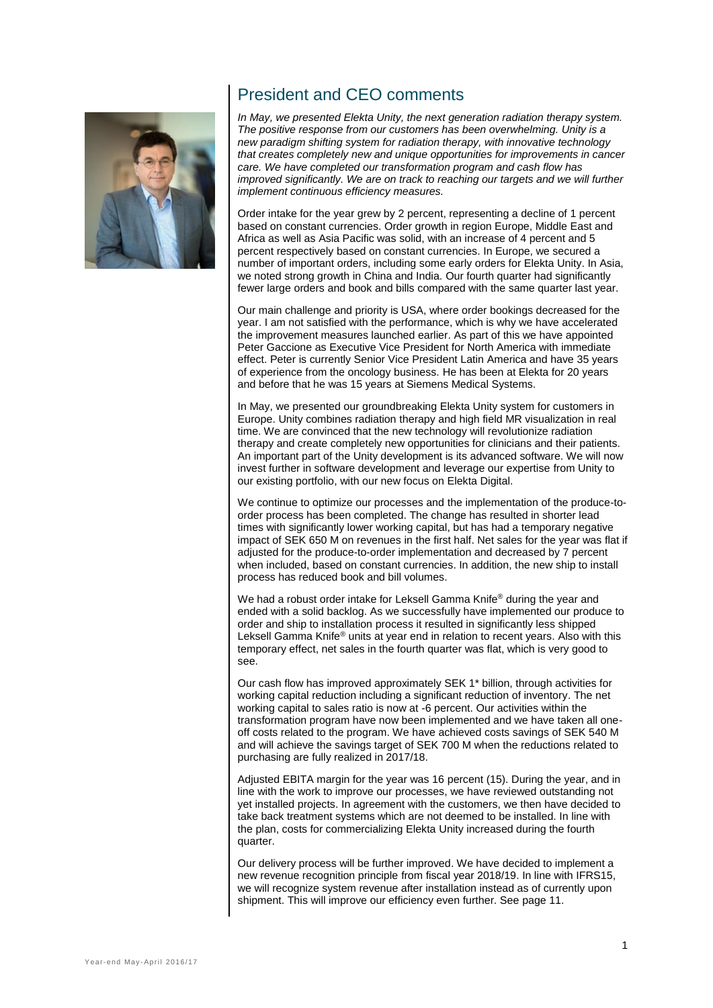

# President and CEO comments

*In May, we presented Elekta Unity, the next generation radiation therapy system. The positive response from our customers has been overwhelming. Unity is a new paradigm shifting system for radiation therapy, with innovative technology that creates completely new and unique opportunities for improvements in cancer care. We have completed our transformation program and cash flow has improved significantly. We are on track to reaching our targets and we will further implement continuous efficiency measures.* 

Order intake for the year grew by 2 percent, representing a decline of 1 percent based on constant currencies. Order growth in region Europe, Middle East and Africa as well as Asia Pacific was solid, with an increase of 4 percent and 5 percent respectively based on constant currencies. In Europe, we secured a number of important orders, including some early orders for Elekta Unity. In Asia, we noted strong growth in China and India. Our fourth quarter had significantly fewer large orders and book and bills compared with the same quarter last year.

Our main challenge and priority is USA, where order bookings decreased for the year. I am not satisfied with the performance, which is why we have accelerated the improvement measures launched earlier. As part of this we have appointed Peter Gaccione as Executive Vice President for North America with immediate effect. Peter is currently Senior Vice President Latin America and have 35 years of experience from the oncology business. He has been at Elekta for 20 years and before that he was 15 years at Siemens Medical Systems.

In May, we presented our groundbreaking Elekta Unity system for customers in Europe. Unity combines radiation therapy and high field MR visualization in real time. We are convinced that the new technology will revolutionize radiation therapy and create completely new opportunities for clinicians and their patients. An important part of the Unity development is its advanced software. We will now invest further in software development and leverage our expertise from Unity to our existing portfolio, with our new focus on Elekta Digital.

We continue to optimize our processes and the implementation of the produce-toorder process has been completed. The change has resulted in shorter lead times with significantly lower working capital, but has had a temporary negative impact of SEK 650 M on revenues in the first half. Net sales for the year was flat if adjusted for the produce-to-order implementation and decreased by 7 percent when included, based on constant currencies. In addition, the new ship to install process has reduced book and bill volumes.

We had a robust order intake for Leksell Gamma Knife® during the year and ended with a solid backlog. As we successfully have implemented our produce to order and ship to installation process it resulted in significantly less shipped Leksell Gamma Knife® units at year end in relation to recent years. Also with this temporary effect, net sales in the fourth quarter was flat, which is very good to see.

Our cash flow has improved approximately SEK 1\* billion, through activities for working capital reduction including a significant reduction of inventory. The net working capital to sales ratio is now at -6 percent. Our activities within the transformation program have now been implemented and we have taken all oneoff costs related to the program. We have achieved costs savings of SEK 540 M and will achieve the savings target of SEK 700 M when the reductions related to purchasing are fully realized in 2017/18.

Adjusted EBITA margin for the year was 16 percent (15). During the year, and in line with the work to improve our processes, we have reviewed outstanding not yet installed projects. In agreement with the customers, we then have decided to take back treatment systems which are not deemed to be installed. In line with the plan, costs for commercializing Elekta Unity increased during the fourth quarter.

Our delivery process will be further improved. We have decided to implement a new revenue recognition principle from fiscal year 2018/19. In line with IFRS15, we will recognize system revenue after installation instead as of currently upon shipment. This will improve our efficiency even further. See page 11.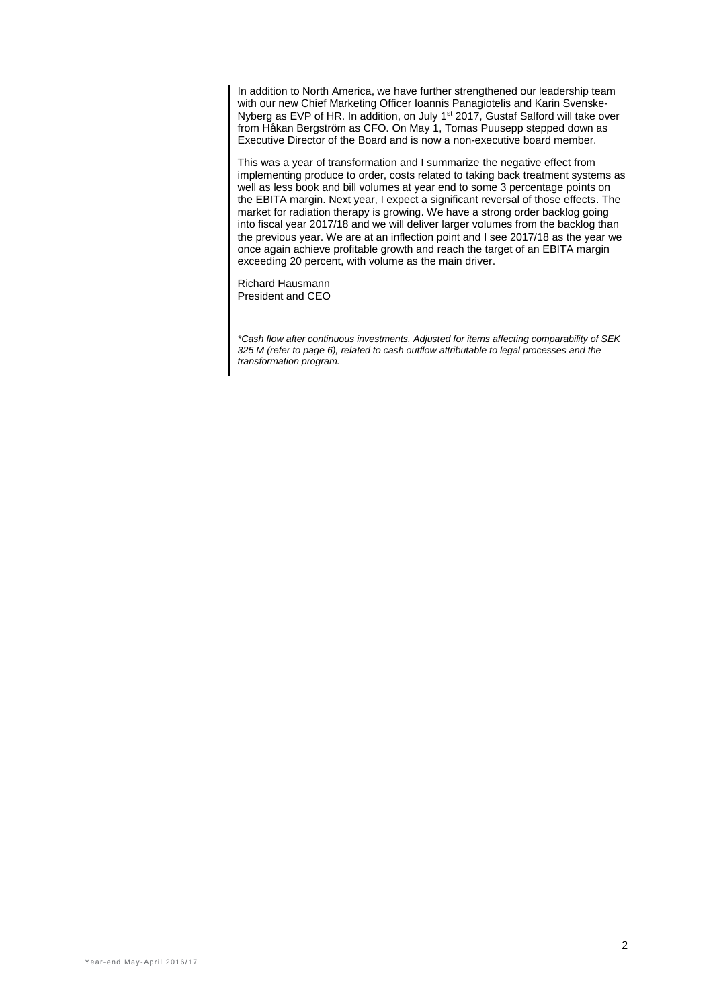In addition to North America, we have further strengthened our leadership team with our new Chief Marketing Officer Ioannis Panagiotelis and Karin Svenske-Nyberg as EVP of HR. In addition, on July 1<sup>st</sup> 2017, Gustaf Salford will take over from Håkan Bergström as CFO. On May 1, Tomas Puusepp stepped down as Executive Director of the Board and is now a non-executive board member.

This was a year of transformation and I summarize the negative effect from implementing produce to order, costs related to taking back treatment systems as well as less book and bill volumes at year end to some 3 percentage points on the EBITA margin. Next year, I expect a significant reversal of those effects. The market for radiation therapy is growing. We have a strong order backlog going into fiscal year 2017/18 and we will deliver larger volumes from the backlog than the previous year. We are at an inflection point and I see 2017/18 as the year we once again achieve profitable growth and reach the target of an EBITA margin exceeding 20 percent, with volume as the main driver.

Richard Hausmann President and CEO

*\*Cash flow after continuous investments. Adjusted for items affecting comparability of SEK 325 M (refer to page 6), related to cash outflow attributable to legal processes and the transformation program.*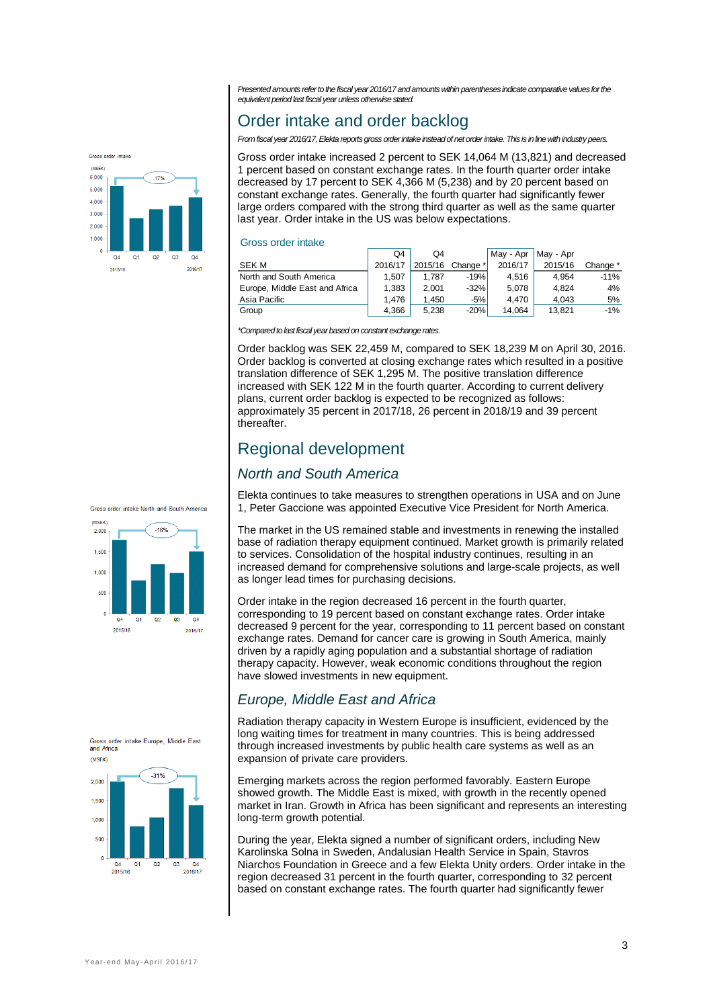*Presented amounts refer to the fiscal year2016/17and amounts within parentheses indicate comparative values for the equivalent period last fiscal year unless otherwise stated.* 

# Order intake and order backlog

*From fiscal year 2016/17, Elekta reports gross order intake instead of net order intake. This is in line with industry peers.*

Gross order intake increased 2 percent to SEK 14,064 M (13,821) and decreased 1 percent based on constant exchange rates. In the fourth quarter order intake decreased by 17 percent to SEK 4,366 M (5,238) and by 20 percent based on constant exchange rates. Generally, the fourth quarter had significantly fewer large orders compared with the strong third quarter as well as the same quarter last year. Order intake in the US was below expectations.

#### Gross order intake

|                                | O4      | Q4      |          | May - Apr | May - Apr |          |
|--------------------------------|---------|---------|----------|-----------|-----------|----------|
| <b>SEK M</b>                   | 2016/17 | 2015/16 | Change * | 2016/17   | 2015/16   | Change * |
| North and South America        | 1.507   | 1.787   | $-19%$   | 4.516     | 4.954     | $-11%$   |
| Europe, Middle East and Africa | 1.383   | 2.001   | $-32%$   | 5.078     | 4.824     | 4%       |
| Asia Pacific                   | 1.476   | 1.450   | -5% '    | 4.470     | 4.043     | 5%       |
| Group                          | 4.366   | 5.238   | $-20%$   | 14.064    | 13.821    | $-1%$    |

*\*Compared to last fiscal year based on constant exchange rates.*

Order backlog was SEK 22,459 M, compared to SEK 18,239 M on April 30, 2016. Order backlog is converted at closing exchange rates which resulted in a positive translation difference of SEK 1,295 M. The positive translation difference increased with SEK 122 M in the fourth quarter. According to current delivery plans, current order backlog is expected to be recognized as follows: approximately 35 percent in 2017/18, 26 percent in 2018/19 and 39 percent thereafter.

## Regional development

## *North and South America*

Elekta continues to take measures to strengthen operations in USA and on June 1, Peter Gaccione was appointed Executive Vice President for North America.

The market in the US remained stable and investments in renewing the installed base of radiation therapy equipment continued. Market growth is primarily related to services. Consolidation of the hospital industry continues, resulting in an increased demand for comprehensive solutions and large-scale projects, as well as longer lead times for purchasing decisions.

Order intake in the region decreased 16 percent in the fourth quarter, corresponding to 19 percent based on constant exchange rates. Order intake decreased 9 percent for the year, corresponding to 11 percent based on constant exchange rates. Demand for cancer care is growing in South America, mainly driven by a rapidly aging population and a substantial shortage of radiation therapy capacity. However, weak economic conditions throughout the region have slowed investments in new equipment.

## *Europe, Middle East and Africa*

Radiation therapy capacity in Western Europe is insufficient, evidenced by the long waiting times for treatment in many countries. This is being addressed through increased investments by public health care systems as well as an expansion of private care providers.

Emerging markets across the region performed favorably. Eastern Europe showed growth. The Middle East is mixed, with growth in the recently opened market in Iran. Growth in Africa has been significant and represents an interesting long-term growth potential.

During the year, Elekta signed a number of significant orders, including New Karolinska Solna in Sweden, Andalusian Health Service in Spain, Stavros Niarchos Foundation in Greece and a few Elekta Unity orders. Order intake in the region decreased 31 percent in the fourth quarter, corresponding to 32 percent based on constant exchange rates. The fourth quarter had significantly fewer



Gross order intake **Alecy** 6.000

2015/16

 $5.000$  $4.000$  $3000$  $2000$  $1,000$  $\alpha$  $Q<sub>4</sub>$  $\Omega$  $\Omega$  $O<sub>3</sub>$ 2016/1

 $-17%$ 



Gross order intake Europe. Middle East and Africa  $(MSEK)$ 

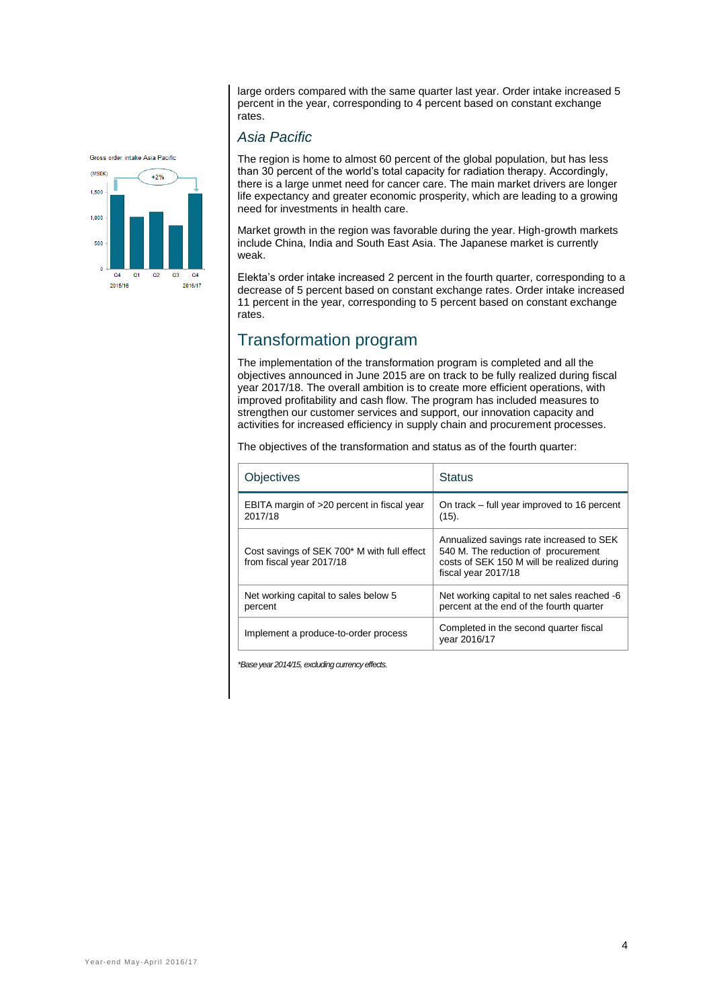large orders compared with the same quarter last year. Order intake increased 5 percent in the year, corresponding to 4 percent based on constant exchange .<br>rates.

#### Groec order intake Acia Pacific



#### *Asia Pacific*

The region is home to almost 60 percent of the global population, but has less than 30 percent of the world's total capacity for radiation therapy. Accordingly, there is a large unmet need for cancer care. The main market drivers are longer life expectancy and greater economic prosperity, which are leading to a growing need for investments in health care.

Market growth in the region was favorable during the year. High-growth markets include China, India and South East Asia. The Japanese market is currently weak.

Elekta's order intake increased 2 percent in the fourth quarter, corresponding to a decrease of 5 percent based on constant exchange rates. Order intake increased 11 percent in the year, corresponding to 5 percent based on constant exchange rates.

## Transformation program

The implementation of the transformation program is completed and all the objectives announced in June 2015 are on track to be fully realized during fiscal year 2017/18. The overall ambition is to create more efficient operations, with improved profitability and cash flow. The program has included measures to strengthen our customer services and support, our innovation capacity and activities for increased efficiency in supply chain and procurement processes.

The objectives of the transformation and status as of the fourth quarter:

| Objectives                                                              | <b>Status</b>                                                                                                                                        |
|-------------------------------------------------------------------------|------------------------------------------------------------------------------------------------------------------------------------------------------|
| EBITA margin of >20 percent in fiscal year<br>2017/18                   | On track – full year improved to 16 percent<br>(15).                                                                                                 |
| Cost savings of SEK 700* M with full effect<br>from fiscal year 2017/18 | Annualized savings rate increased to SEK<br>540 M. The reduction of procurement<br>costs of SEK 150 M will be realized during<br>fiscal year 2017/18 |
| Net working capital to sales below 5<br>percent                         | Net working capital to net sales reached -6<br>percent at the end of the fourth quarter                                                              |
| Implement a produce-to-order process                                    | Completed in the second quarter fiscal<br>year 2016/17                                                                                               |

*\*Base year 2014/15, excluding currency effects.*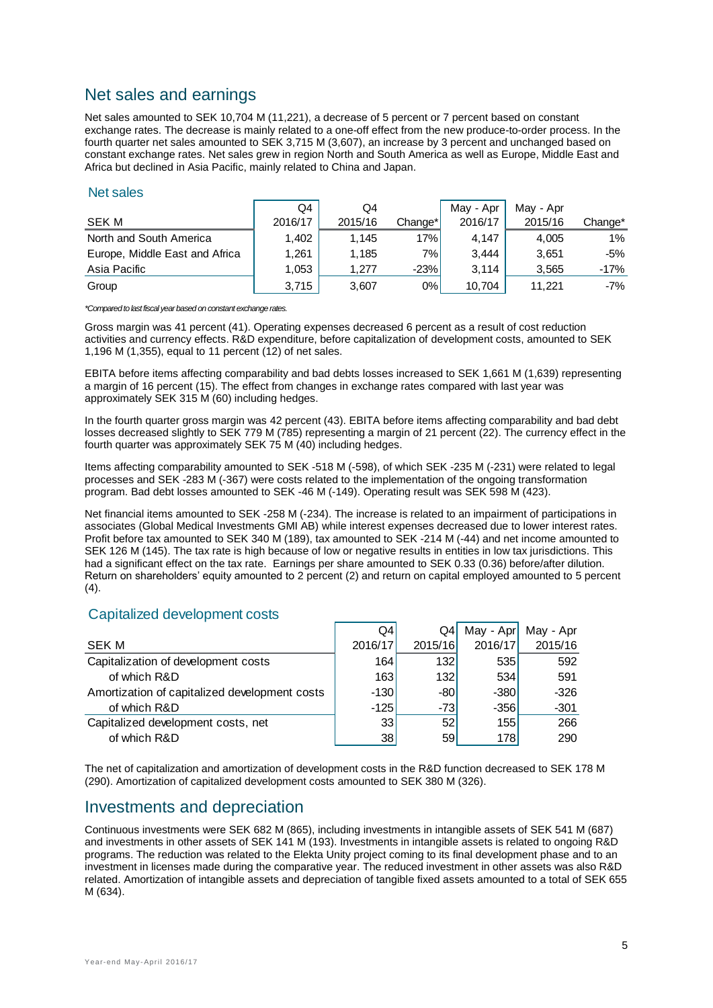# Net sales and earnings

Net sales amounted to SEK 10,704 M (11,221), a decrease of 5 percent or 7 percent based on constant exchange rates. The decrease is mainly related to a one-off effect from the new produce-to-order process. In the fourth quarter net sales amounted to SEK 3,715 M (3,607), an increase by 3 percent and unchanged based on constant exchange rates. Net sales grew in region North and South America as well as Europe, Middle East and Africa but declined in Asia Pacific, mainly related to China and Japan.

#### Net sales

|                                | Q4      | Q4      |         | May - Apr | May - Apr |         |
|--------------------------------|---------|---------|---------|-----------|-----------|---------|
| <b>SEK M</b>                   | 2016/17 | 2015/16 | Change* | 2016/17   | 2015/16   | Change* |
| North and South America        | 1.402   | 1.145   | 17%     | 4.147     | 4.005     | 1%      |
| Europe, Middle East and Africa | 1.261   | 1.185   | 7% l    | 3.444     | 3.651     | -5%     |
| Asia Pacific                   | 1.053   | 1.277   | $-23%$  | 3.114     | 3.565     | $-17%$  |
| Group                          | 3,715   | 3,607   | $0\%$   | 10.704    | 11.221    | $-7%$   |

*\*Compared to last fiscal year based on constant exchange rates.*

Gross margin was 41 percent (41). Operating expenses decreased 6 percent as a result of cost reduction activities and currency effects. R&D expenditure, before capitalization of development costs, amounted to SEK 1,196 M (1,355), equal to 11 percent (12) of net sales.

EBITA before items affecting comparability and bad debts losses increased to SEK 1,661 M (1,639) representing a margin of 16 percent (15). The effect from changes in exchange rates compared with last year was approximately SEK 315 M (60) including hedges.

In the fourth quarter gross margin was 42 percent (43). EBITA before items affecting comparability and bad debt losses decreased slightly to SEK 779 M (785) representing a margin of 21 percent (22). The currency effect in the fourth quarter was approximately SEK 75 M (40) including hedges.

Items affecting comparability amounted to SEK -518 M (-598), of which SEK -235 M (-231) were related to legal processes and SEK -283 M (-367) were costs related to the implementation of the ongoing transformation program. Bad debt losses amounted to SEK -46 M (-149). Operating result was SEK 598 M (423).

Net financial items amounted to SEK -258 M (-234). The increase is related to an impairment of participations in associates (Global Medical Investments GMI AB) while interest expenses decreased due to lower interest rates. Profit before tax amounted to SEK 340 M (189), tax amounted to SEK -214 M (-44) and net income amounted to SEK 126 M (145). The tax rate is high because of low or negative results in entities in low tax jurisdictions. This had a significant effect on the tax rate. Earnings per share amounted to SEK 0.33 (0.36) before/after dilution. Return on shareholders' equity amounted to 2 percent (2) and return on capital employed amounted to 5 percent  $(4)$ 

#### Capitalized development costs

|                                               | Q4              | Q4      | May - Apr | May - Apr |
|-----------------------------------------------|-----------------|---------|-----------|-----------|
| SEK M                                         | 2016/17         | 2015/16 | 2016/17   | 2015/16   |
| Capitalization of development costs           | 164             | 132     | 535       | 592       |
| of which R&D                                  | 163             | 132     | 534       | 591       |
| Amortization of capitalized development costs | $-130$          | -80     | $-380$    | $-326$    |
| of which R&D                                  | $-125$          | $-73$   | $-356$    | $-301$    |
| Capitalized development costs, net            | 33 <sub>1</sub> | 52      | 155       | 266       |
| of which R&D                                  | 38              | 59      | 178       | 290       |

The net of capitalization and amortization of development costs in the R&D function decreased to SEK 178 M (290). Amortization of capitalized development costs amounted to SEK 380 M (326).

## Investments and depreciation

Continuous investments were SEK 682 M (865), including investments in intangible assets of SEK 541 M (687) and investments in other assets of SEK 141 M (193). Investments in intangible assets is related to ongoing R&D programs. The reduction was related to the Elekta Unity project coming to its final development phase and to an investment in licenses made during the comparative year. The reduced investment in other assets was also R&D related. Amortization of intangible assets and depreciation of tangible fixed assets amounted to a total of SEK 655 M (634).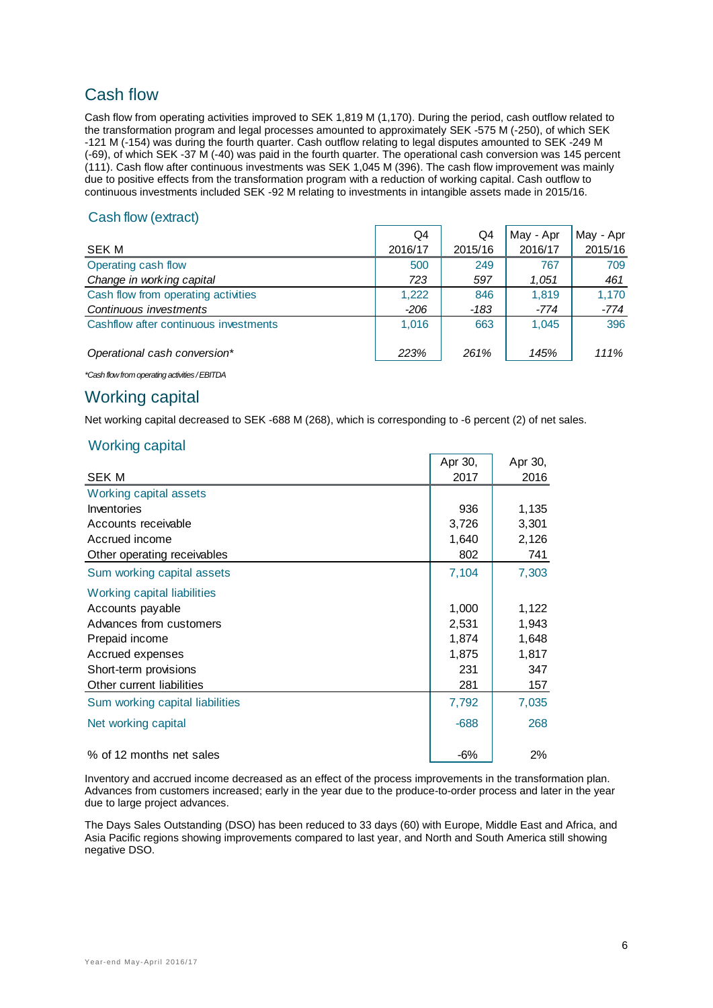# Cash flow

Cash flow from operating activities improved to SEK 1,819 M (1,170). During the period, cash outflow related to the transformation program and legal processes amounted to approximately SEK -575 M (-250), of which SEK -121 M (-154) was during the fourth quarter. Cash outflow relating to legal disputes amounted to SEK -249 M (-69), of which SEK -37 M (-40) was paid in the fourth quarter. The operational cash conversion was 145 percent (111). Cash flow after continuous investments was SEK 1,045 M (396). The cash flow improvement was mainly due to positive effects from the transformation program with a reduction of working capital. Cash outflow to continuous investments included SEK -92 M relating to investments in intangible assets made in 2015/16.

#### Cash flow (extract)

|                                       | Q4      | Q4      | May - Apr | May - Apr |
|---------------------------------------|---------|---------|-----------|-----------|
| <b>SEK M</b>                          | 2016/17 | 2015/16 | 2016/17   | 2015/16   |
| Operating cash flow                   | 500     | 249     | 767       | 709       |
| Change in working capital             | 723     | 597     | 1,051     | 461       |
| Cash flow from operating activities   | 1,222   | 846     | 1.819     | 1.170     |
| Continuous investments                | -206    | -183    | -774      | -774      |
| Cashflow after continuous investments | 1.016   | 663     | 1.045     | 396       |
|                                       |         |         |           |           |
| Operational cash conversion*          | 223%    | 261%    | 145%      | 111%      |

*\*Cash flow from operating activities / EBITDA*

## Working capital

Net working capital decreased to SEK -688 M (268), which is corresponding to -6 percent (2) of net sales.

#### Working capital

|                                    | Apr 30, | Apr 30, |
|------------------------------------|---------|---------|
| <b>SEK M</b>                       | 2017    | 2016    |
| <b>Working capital assets</b>      |         |         |
| Inventories                        | 936     | 1,135   |
| Accounts receivable                | 3,726   | 3,301   |
| Accrued income                     | 1,640   | 2,126   |
| Other operating receivables        | 802     | 741     |
| Sum working capital assets         | 7,104   | 7,303   |
| <b>Working capital liabilities</b> |         |         |
| Accounts payable                   | 1,000   | 1,122   |
| Advances from customers            | 2,531   | 1,943   |
| Prepaid income                     | 1,874   | 1,648   |
| Accrued expenses                   | 1,875   | 1,817   |
| Short-term provisions              | 231     | 347     |
| Other current liabilities          | 281     | 157     |
| Sum working capital liabilities    | 7,792   | 7,035   |
| Net working capital                | $-688$  | 268     |
| % of 12 months net sales           | -6%     | 2%      |

Inventory and accrued income decreased as an effect of the process improvements in the transformation plan. Advances from customers increased; early in the year due to the produce-to-order process and later in the year due to large project advances.

The Days Sales Outstanding (DSO) has been reduced to 33 days (60) with Europe, Middle East and Africa, and Asia Pacific regions showing improvements compared to last year, and North and South America still showing negative DSO.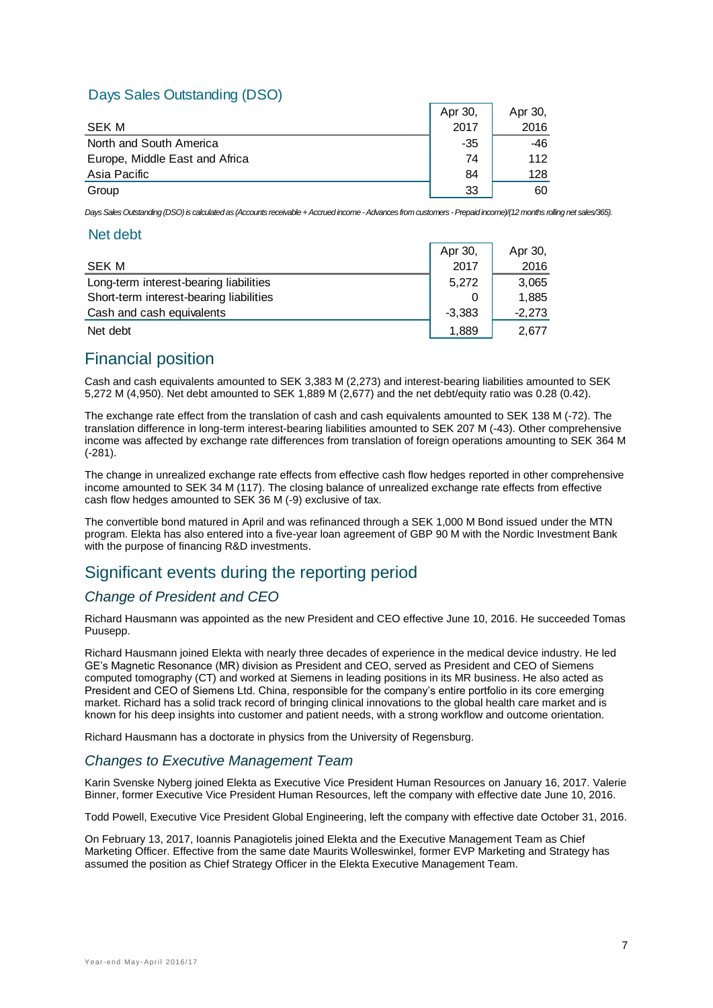## Days Sales Outstanding (DSO)

|                                | Apr 30, | Apr 30, |
|--------------------------------|---------|---------|
| <b>SEK M</b>                   | 2017    | 2016    |
| North and South America        | -35     | -46     |
| Europe, Middle East and Africa | 74      | 112     |
| Asia Pacific                   | 84      | 128     |
| Group                          | 33      | 60      |

*Days Sales Outstanding (DSO) is calculated as (Accounts receivable + Accrued income -Advances from customers -Prepaid income)/(12 months rolling net sales/365).* 

#### Net debt

|                                         | Apr 30.  | Apr 30,  |
|-----------------------------------------|----------|----------|
| SEK M                                   | 2017     | 2016     |
| Long-term interest-bearing liabilities  | 5.272    | 3,065    |
| Short-term interest-bearing liabilities |          | 1,885    |
| Cash and cash equivalents               | $-3.383$ | $-2,273$ |
| Net debt                                | 1.889    | 2,677    |

## Financial position

Cash and cash equivalents amounted to SEK 3,383 M (2,273) and interest-bearing liabilities amounted to SEK 5,272 M (4,950). Net debt amounted to SEK 1,889 M (2,677) and the net debt/equity ratio was 0.28 (0.42).

The exchange rate effect from the translation of cash and cash equivalents amounted to SEK 138 M (-72). The translation difference in long-term interest-bearing liabilities amounted to SEK 207 M (-43). Other comprehensive income was affected by exchange rate differences from translation of foreign operations amounting to SEK 364 M (-281).

The change in unrealized exchange rate effects from effective cash flow hedges reported in other comprehensive income amounted to SEK 34 M (117). The closing balance of unrealized exchange rate effects from effective cash flow hedges amounted to SEK 36 M (-9) exclusive of tax.

The convertible bond matured in April and was refinanced through a SEK 1,000 M Bond issued under the MTN program. Elekta has also entered into a five-year loan agreement of GBP 90 M with the Nordic Investment Bank with the purpose of financing R&D investments.

# Significant events during the reporting period

## *Change of President and CEO*

Richard Hausmann was appointed as the new President and CEO effective June 10, 2016. He succeeded Tomas Puusepp.

Richard Hausmann joined Elekta with nearly three decades of experience in the medical device industry. He led GE's Magnetic Resonance (MR) division as President and CEO, served as President and CEO of Siemens computed tomography (CT) and worked at Siemens in leading positions in its MR business. He also acted as President and CEO of Siemens Ltd. China, responsible for the company's entire portfolio in its core emerging market. Richard has a solid track record of bringing clinical innovations to the global health care market and is known for his deep insights into customer and patient needs, with a strong workflow and outcome orientation.

Richard Hausmann has a doctorate in physics from the University of Regensburg.

#### *Changes to Executive Management Team*

Karin Svenske Nyberg joined Elekta as Executive Vice President Human Resources on January 16, 2017. Valerie Binner, former Executive Vice President Human Resources, left the company with effective date June 10, 2016.

Todd Powell, Executive Vice President Global Engineering, left the company with effective date October 31, 2016.

On February 13, 2017, Ioannis Panagiotelis joined Elekta and the Executive Management Team as Chief Marketing Officer. Effective from the same date Maurits Wolleswinkel, former EVP Marketing and Strategy has assumed the position as Chief Strategy Officer in the Elekta Executive Management Team.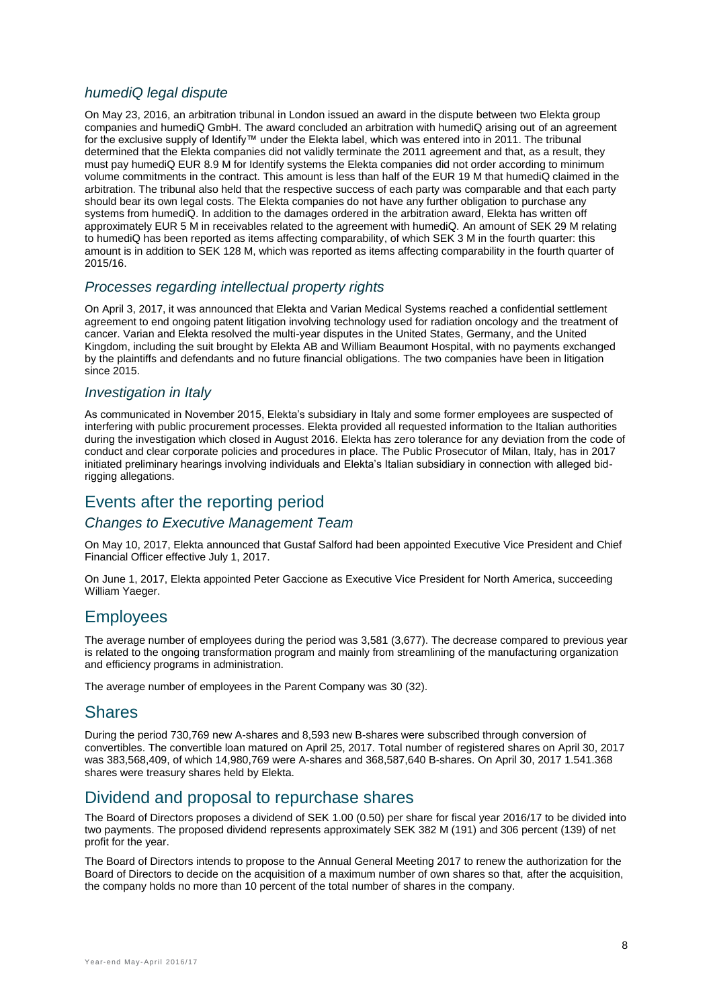## *humediQ legal dispute*

On May 23, 2016, an arbitration tribunal in London issued an award in the dispute between two Elekta group companies and humediQ GmbH. The award concluded an arbitration with humediQ arising out of an agreement for the exclusive supply of Identify™ under the Elekta label, which was entered into in 2011. The tribunal determined that the Elekta companies did not validly terminate the 2011 agreement and that, as a result, they must pay humediQ EUR 8.9 M for Identify systems the Elekta companies did not order according to minimum volume commitments in the contract. This amount is less than half of the EUR 19 M that humediQ claimed in the arbitration. The tribunal also held that the respective success of each party was comparable and that each party should bear its own legal costs. The Elekta companies do not have any further obligation to purchase any systems from humediQ. In addition to the damages ordered in the arbitration award, Elekta has written off approximately EUR 5 M in receivables related to the agreement with humediQ. An amount of SEK 29 M relating to humediQ has been reported as items affecting comparability, of which SEK 3 M in the fourth quarter: this amount is in addition to SEK 128 M, which was reported as items affecting comparability in the fourth quarter of 2015/16.

#### *Processes regarding intellectual property rights*

On April 3, 2017, it was announced that Elekta and Varian Medical Systems reached a confidential settlement agreement to end ongoing patent litigation involving technology used for radiation oncology and the treatment of cancer. Varian and Elekta resolved the multi-year disputes in the United States, Germany, and the United Kingdom, including the suit brought by Elekta AB and William Beaumont Hospital, with no payments exchanged by the plaintiffs and defendants and no future financial obligations. The two companies have been in litigation since 2015.

#### *Investigation in Italy*

As communicated in November 2015, Elekta's subsidiary in Italy and some former employees are suspected of interfering with public procurement processes. Elekta provided all requested information to the Italian authorities during the investigation which closed in August 2016. Elekta has zero tolerance for any deviation from the code of conduct and clear corporate policies and procedures in place. The Public Prosecutor of Milan, Italy, has in 2017 initiated preliminary hearings involving individuals and Elekta's Italian subsidiary in connection with alleged bidrigging allegations.

## Events after the reporting period

#### *Changes to Executive Management Team*

On May 10, 2017, Elekta announced that Gustaf Salford had been appointed Executive Vice President and Chief Financial Officer effective July 1, 2017.

On June 1, 2017, Elekta appointed Peter Gaccione as Executive Vice President for North America, succeeding William Yaeger.

## **Employees**

The average number of employees during the period was 3,581 (3,677). The decrease compared to previous year is related to the ongoing transformation program and mainly from streamlining of the manufacturing organization and efficiency programs in administration.

The average number of employees in the Parent Company was 30 (32).

#### **Shares**

During the period 730,769 new A-shares and 8,593 new B-shares were subscribed through conversion of convertibles. The convertible loan matured on April 25, 2017. Total number of registered shares on April 30, 2017 was 383,568,409, of which 14,980,769 were A-shares and 368,587,640 B-shares. On April 30, 2017 1.541.368 shares were treasury shares held by Elekta.

## Dividend and proposal to repurchase shares

The Board of Directors proposes a dividend of SEK 1.00 (0.50) per share for fiscal year 2016/17 to be divided into two payments. The proposed dividend represents approximately SEK 382 M (191) and 306 percent (139) of net profit for the year.

The Board of Directors intends to propose to the Annual General Meeting 2017 to renew the authorization for the Board of Directors to decide on the acquisition of a maximum number of own shares so that, after the acquisition, the company holds no more than 10 percent of the total number of shares in the company.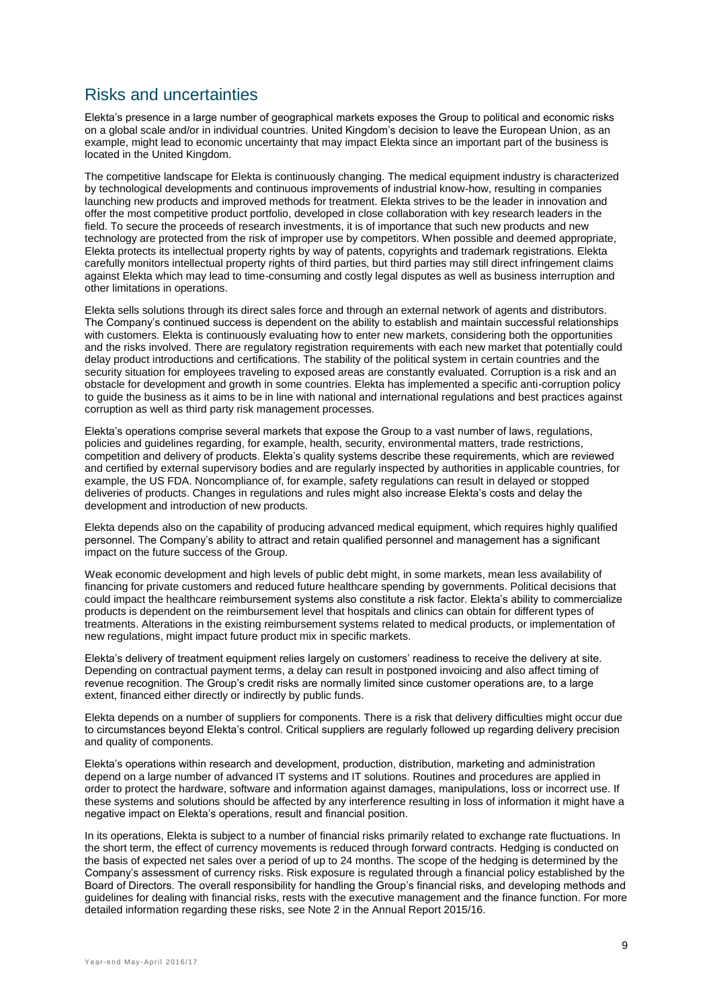# Risks and uncertainties

Elekta's presence in a large number of geographical markets exposes the Group to political and economic risks on a global scale and/or in individual countries. United Kingdom's decision to leave the European Union, as an example, might lead to economic uncertainty that may impact Elekta since an important part of the business is located in the United Kingdom.

The competitive landscape for Elekta is continuously changing. The medical equipment industry is characterized by technological developments and continuous improvements of industrial know-how, resulting in companies launching new products and improved methods for treatment. Elekta strives to be the leader in innovation and offer the most competitive product portfolio, developed in close collaboration with key research leaders in the field. To secure the proceeds of research investments, it is of importance that such new products and new technology are protected from the risk of improper use by competitors. When possible and deemed appropriate, Elekta protects its intellectual property rights by way of patents, copyrights and trademark registrations. Elekta carefully monitors intellectual property rights of third parties, but third parties may still direct infringement claims against Elekta which may lead to time-consuming and costly legal disputes as well as business interruption and other limitations in operations.

Elekta sells solutions through its direct sales force and through an external network of agents and distributors. The Company's continued success is dependent on the ability to establish and maintain successful relationships with customers. Elekta is continuously evaluating how to enter new markets, considering both the opportunities and the risks involved. There are regulatory registration requirements with each new market that potentially could delay product introductions and certifications. The stability of the political system in certain countries and the security situation for employees traveling to exposed areas are constantly evaluated. Corruption is a risk and an obstacle for development and growth in some countries. Elekta has implemented a specific anti-corruption policy to guide the business as it aims to be in line with national and international regulations and best practices against corruption as well as third party risk management processes.

Elekta's operations comprise several markets that expose the Group to a vast number of laws, regulations, policies and guidelines regarding, for example, health, security, environmental matters, trade restrictions, competition and delivery of products. Elekta's quality systems describe these requirements, which are reviewed and certified by external supervisory bodies and are regularly inspected by authorities in applicable countries, for example, the US FDA. Noncompliance of, for example, safety regulations can result in delayed or stopped deliveries of products. Changes in regulations and rules might also increase Elekta's costs and delay the development and introduction of new products.

Elekta depends also on the capability of producing advanced medical equipment, which requires highly qualified personnel. The Company's ability to attract and retain qualified personnel and management has a significant impact on the future success of the Group.

Weak economic development and high levels of public debt might, in some markets, mean less availability of financing for private customers and reduced future healthcare spending by governments. Political decisions that could impact the healthcare reimbursement systems also constitute a risk factor. Elekta's ability to commercialize products is dependent on the reimbursement level that hospitals and clinics can obtain for different types of treatments. Alterations in the existing reimbursement systems related to medical products, or implementation of new regulations, might impact future product mix in specific markets.

Elekta's delivery of treatment equipment relies largely on customers' readiness to receive the delivery at site. Depending on contractual payment terms, a delay can result in postponed invoicing and also affect timing of revenue recognition. The Group's credit risks are normally limited since customer operations are, to a large extent, financed either directly or indirectly by public funds.

Elekta depends on a number of suppliers for components. There is a risk that delivery difficulties might occur due to circumstances beyond Elekta's control. Critical suppliers are regularly followed up regarding delivery precision and quality of components.

Elekta's operations within research and development, production, distribution, marketing and administration depend on a large number of advanced IT systems and IT solutions. Routines and procedures are applied in order to protect the hardware, software and information against damages, manipulations, loss or incorrect use. If these systems and solutions should be affected by any interference resulting in loss of information it might have a negative impact on Elekta's operations, result and financial position.

In its operations, Elekta is subject to a number of financial risks primarily related to exchange rate fluctuations. In the short term, the effect of currency movements is reduced through forward contracts. Hedging is conducted on the basis of expected net sales over a period of up to 24 months. The scope of the hedging is determined by the Company's assessment of currency risks. Risk exposure is regulated through a financial policy established by the Board of Directors. The overall responsibility for handling the Group's financial risks, and developing methods and guidelines for dealing with financial risks, rests with the executive management and the finance function. For more detailed information regarding these risks, see Note 2 in the Annual Report 2015/16.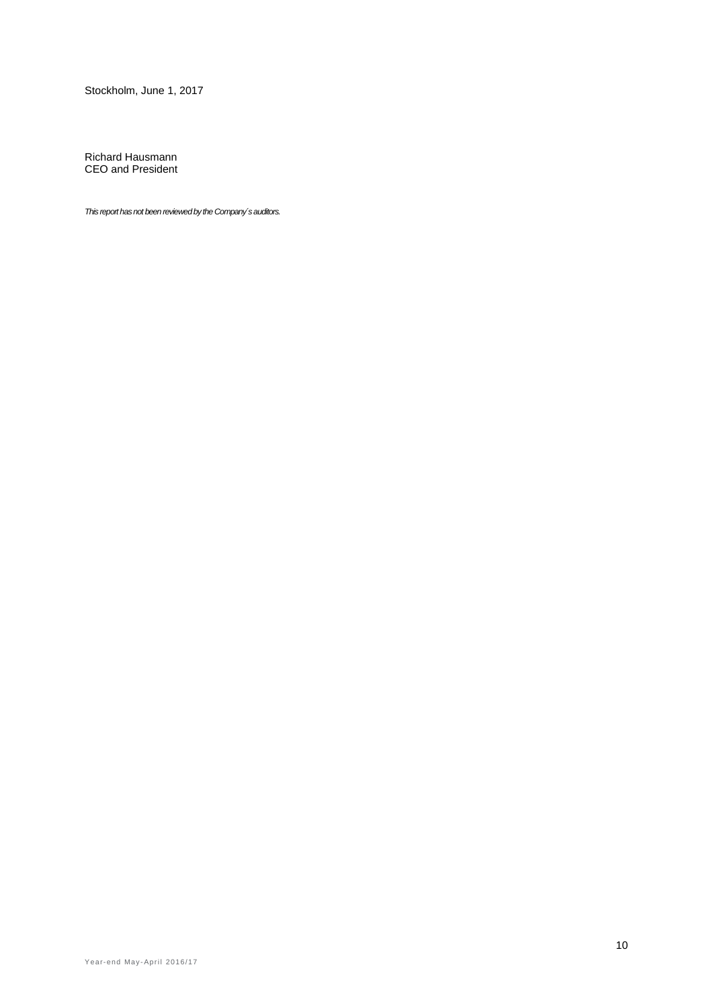Stockholm, June 1, 2017

Richard Hausmann CEO and President

*This report has not been reviewed by the Company´s auditors.*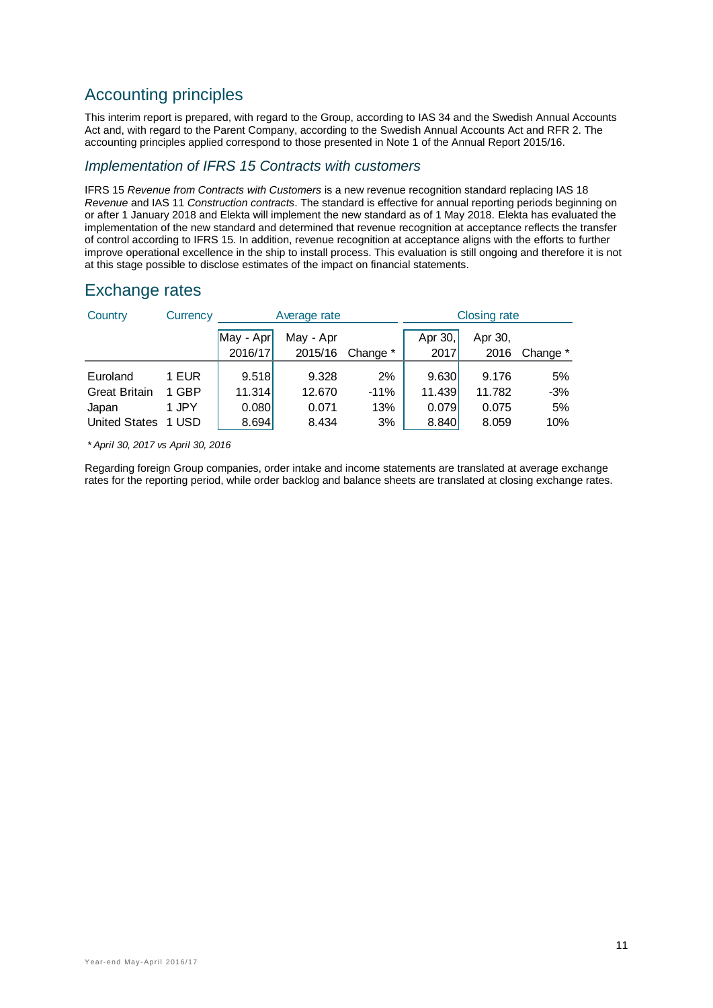# Accounting principles

This interim report is prepared, with regard to the Group, according to IAS 34 and the Swedish Annual Accounts Act and, with regard to the Parent Company, according to the Swedish Annual Accounts Act and RFR 2. The accounting principles applied correspond to those presented in Note 1 of the Annual Report 2015/16.

#### *Implementation of IFRS 15 Contracts with customers*

IFRS 15 *Revenue from Contracts with Customers* is a new revenue recognition standard replacing IAS 18 *Revenue* and IAS 11 *Construction contracts*. The standard is effective for annual reporting periods beginning on or after 1 January 2018 and Elekta will implement the new standard as of 1 May 2018. Elekta has evaluated the implementation of the new standard and determined that revenue recognition at acceptance reflects the transfer of control according to IFRS 15. In addition, revenue recognition at acceptance aligns with the efforts to further improve operational excellence in the ship to install process. This evaluation is still ongoing and therefore it is not at this stage possible to disclose estimates of the impact on financial statements.

| Country              | Currency |           | Average rate |          |         | <b>Closing rate</b> |          |
|----------------------|----------|-----------|--------------|----------|---------|---------------------|----------|
|                      |          | May - Apr | May - Apr    |          | Apr 30, | Apr 30,             |          |
|                      |          | 2016/17   | 2015/16      | Change * | 2017    | 2016                | Change * |
|                      |          |           |              |          |         |                     |          |
| Euroland             | 1 EUR    | 9.518     | 9.328        | 2%       | 9.630   | 9.176               | 5%       |
| <b>Great Britain</b> | 1 GBP    | 11.314    | 12.670       | $-11%$   | 11.439  | 11.782              | -3%      |
| Japan                | 1 JPY    | 0.080     | 0.071        | 13%      | 0.079   | 0.075               | 5%       |
| <b>United States</b> | 1 USD    | 8.694     | 8.434        | 3%       | 8.840   | 8.059               | 10%      |

## Exchange rates

*\* April 30, 2017 vs April 30, 2016*

Regarding foreign Group companies, order intake and income statements are translated at average exchange rates for the reporting period, while order backlog and balance sheets are translated at closing exchange rates.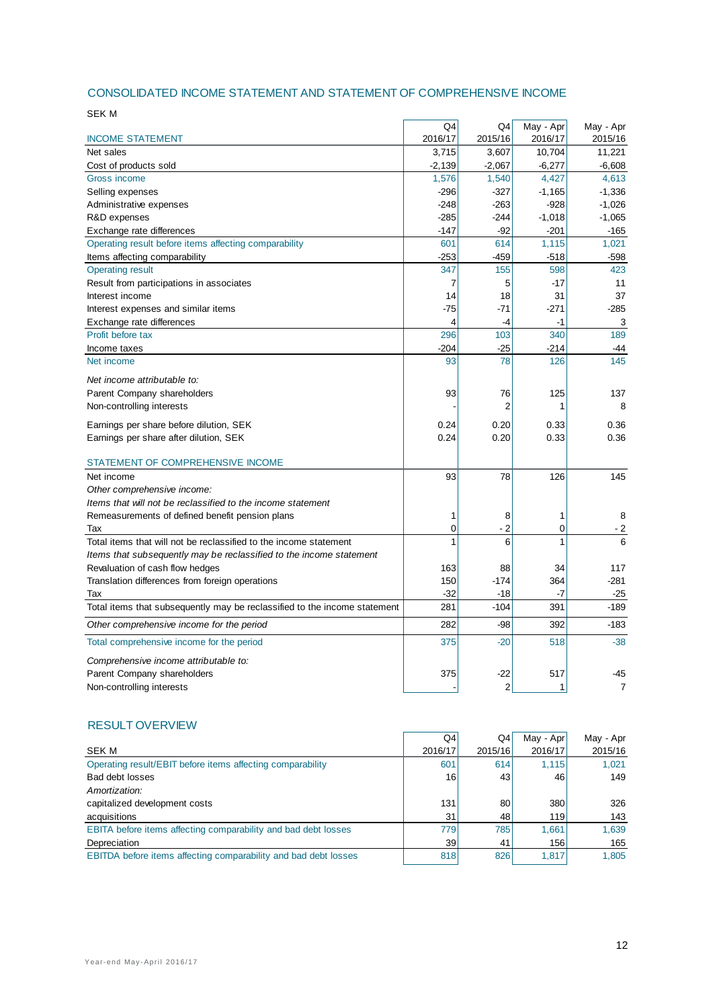#### CONSOLIDATED INCOME STATEMENT AND STATEMENT OF COMPREHENSIVE INCOME

| <b>SEK M</b>                                                              |          |                |           |                |
|---------------------------------------------------------------------------|----------|----------------|-----------|----------------|
|                                                                           | Q4       | Q4             | May - Apr | May - Apr      |
| <b>INCOME STATEMENT</b>                                                   | 2016/17  | 2015/16        | 2016/17   | 2015/16        |
| Net sales                                                                 | 3,715    | 3,607          | 10,704    | 11,221         |
| Cost of products sold                                                     | $-2,139$ | $-2,067$       | $-6,277$  | $-6,608$       |
| Gross income                                                              | 1,576    | 1,540          | 4,427     | 4,613          |
| Selling expenses                                                          | $-296$   | $-327$         | $-1,165$  | $-1,336$       |
| Administrative expenses                                                   | $-248$   | $-263$         | $-928$    | $-1,026$       |
| R&D expenses                                                              | $-285$   | $-244$         | $-1,018$  | $-1,065$       |
| Exchange rate differences                                                 | $-147$   | $-92$          | $-201$    | $-165$         |
| Operating result before items affecting comparability                     | 601      | 614            | 1,115     | 1,021          |
| Items affecting comparability                                             | $-253$   | $-459$         | $-518$    | $-598$         |
| <b>Operating result</b>                                                   | 347      | 155            | 598       | 423            |
| Result from participations in associates                                  | 7        | 5              | -17       | 11             |
| Interest income                                                           | 14       | 18             | 31        | 37             |
| Interest expenses and similar items                                       | $-75$    | $-71$          | $-271$    | $-285$         |
| Exchange rate differences                                                 | 4        | -4             | -1        | 3              |
| Profit before tax                                                         | 296      | 103            | 340       | 189            |
| Income taxes                                                              | $-204$   | $-25$          | $-214$    | -44            |
| Net income                                                                | 93       | 78             | 126       | 145            |
| Net income attributable to:                                               |          |                |           |                |
| Parent Company shareholders                                               | 93       | 76             | 125       | 137            |
| Non-controlling interests                                                 |          | $\overline{2}$ | 1         | 8              |
| Earnings per share before dilution, SEK                                   | 0.24     | 0.20           | 0.33      | 0.36           |
| Earnings per share after dilution, SEK                                    | 0.24     | 0.20           | 0.33      | 0.36           |
|                                                                           |          |                |           |                |
| STATEMENT OF COMPREHENSIVE INCOME                                         |          |                |           |                |
| Net income                                                                | 93       | 78             | 126       | 145            |
| Other comprehensive income:                                               |          |                |           |                |
| Items that will not be reclassified to the income statement               |          |                |           |                |
| Remeasurements of defined benefit pension plans                           | 1        | 8              | 1         | 8              |
| Tax                                                                       | 0        | $-2$           | 0         | $-2$           |
| Total items that will not be reclassified to the income statement         | 1        | 6              | 1         | 6              |
| Items that subsequently may be reclassified to the income statement       |          |                |           |                |
| Revaluation of cash flow hedges                                           | 163      | 88             | 34        | 117            |
| Translation differences from foreign operations                           | 150      | $-174$         | 364       | $-281$         |
| Tax                                                                       | $-32$    | $-18$          | $-7$      | $-25$          |
| Total items that subsequently may be reclassified to the income statement | 281      | $-104$         | 391       | $-189$         |
| Other comprehensive income for the period                                 | 282      | $-98$          | 392       | $-183$         |
| Total comprehensive income for the period                                 | 375      | $-20$          | 518       | $-38$          |
| Comprehensive income attributable to:                                     |          |                |           |                |
| Parent Company shareholders                                               | 375      | $-22$          | 517       | -45            |
| Non-controlling interests                                                 |          | $\overline{2}$ | 1         | $\overline{7}$ |
|                                                                           |          |                |           |                |

#### RESULT OVERVIEW

|                                                                 | Q4      | Q4      | May - Apr | May - Apr |
|-----------------------------------------------------------------|---------|---------|-----------|-----------|
| <b>SEK M</b>                                                    | 2016/17 | 2015/16 | 2016/17   | 2015/16   |
| Operating result/EBIT before items affecting comparability      | 601     | 614     | 1.115     | 1.021     |
| Bad debt losses                                                 | 16      | 431     | 46        | 149       |
| Amortization:                                                   |         |         |           |           |
| capitalized development costs                                   | 131     | 80      | 380       | 326       |
| acquisitions                                                    | 31      | 48      | 119       | 143       |
| EBITA before items affecting comparability and bad debt losses  | 779     | 785     | 1.661     | 1,639     |
| Depreciation                                                    | 39      | 41      | 156       | 165       |
| EBITDA before items affecting comparability and bad debt losses | 818     | 826     | 1.817     | 1.805     |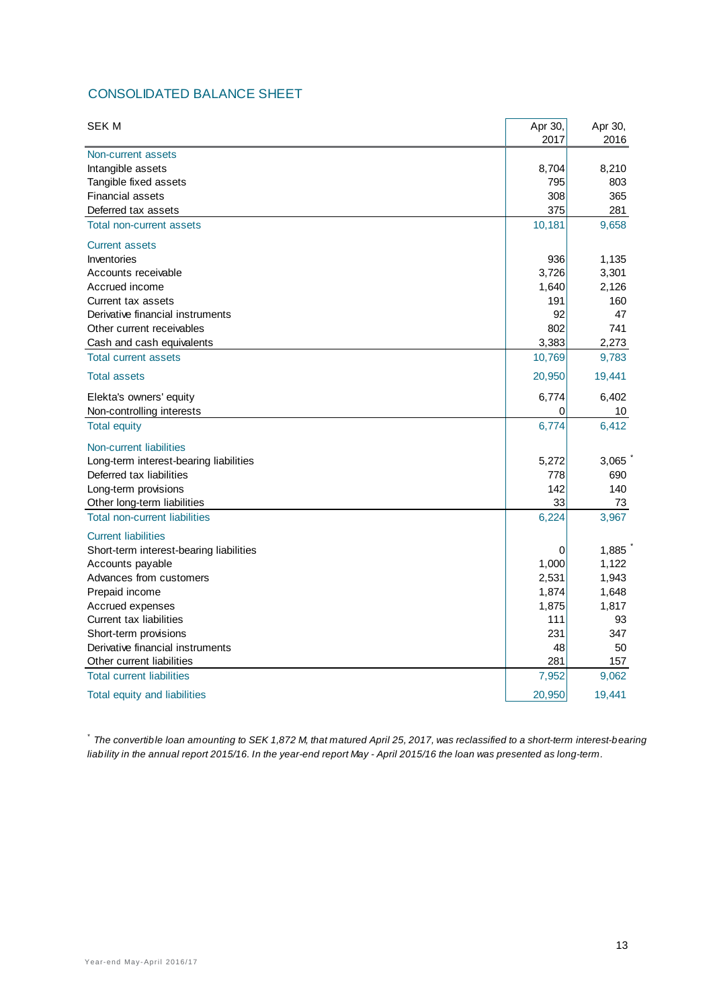## CONSOLIDATED BALANCE SHEET

| <b>SEK M</b>                            | Apr 30, | Apr 30, |
|-----------------------------------------|---------|---------|
|                                         | 2017    | 2016    |
| Non-current assets<br>Intangible assets | 8,704   | 8,210   |
| Tangible fixed assets                   | 795     | 803     |
| <b>Financial assets</b>                 | 308     | 365     |
| Deferred tax assets                     | 375     | 281     |
| Total non-current assets                | 10,181  | 9,658   |
| <b>Current assets</b>                   |         |         |
| Inventories                             | 936     | 1,135   |
| Accounts receivable                     | 3,726   | 3,301   |
| Accrued income                          | 1,640   | 2,126   |
| Current tax assets                      | 191     | 160     |
| Derivative financial instruments        | 92      | 47      |
| Other current receivables               | 802     | 741     |
| Cash and cash equivalents               | 3,383   | 2,273   |
| <b>Total current assets</b>             | 10,769  | 9,783   |
| <b>Total assets</b>                     | 20,950  | 19,441  |
| Elekta's owners' equity                 | 6,774   | 6,402   |
| Non-controlling interests               | 0       | 10      |
| <b>Total equity</b>                     | 6,774   | 6,412   |
| Non-current liabilities                 |         |         |
| Long-term interest-bearing liabilities  | 5,272   | 3,065   |
| Deferred tax liabilities                | 778     | 690     |
| Long-term provisions                    | 142     | 140     |
| Other long-term liabilities             | 33      | 73      |
| <b>Total non-current liabilities</b>    | 6,224   | 3,967   |
| <b>Current liabilities</b>              |         |         |
| Short-term interest-bearing liabilities | 0       | 1,885   |
| Accounts payable                        | 1,000   | 1,122   |
| Advances from customers                 | 2,531   | 1,943   |
| Prepaid income                          | 1,874   | 1,648   |
| Accrued expenses                        | 1,875   | 1,817   |
| Current tax liabilities                 | 111     | 93      |
| Short-term provisions                   | 231     | 347     |
| Derivative financial instruments        | 48      | 50      |
| Other current liabilities               | 281     | 157     |
| <b>Total current liabilities</b>        | 7,952   | 9,062   |
| Total equity and liabilities            | 20,950  | 19,441  |

*\* The convertible loan amounting to SEK 1,872 M, that matured April 25, 2017, was reclassified to a short-term interest-bearing liability in the annual report 2015/16. In the year-end report May - April 2015/16 the loan was presented as long-term.*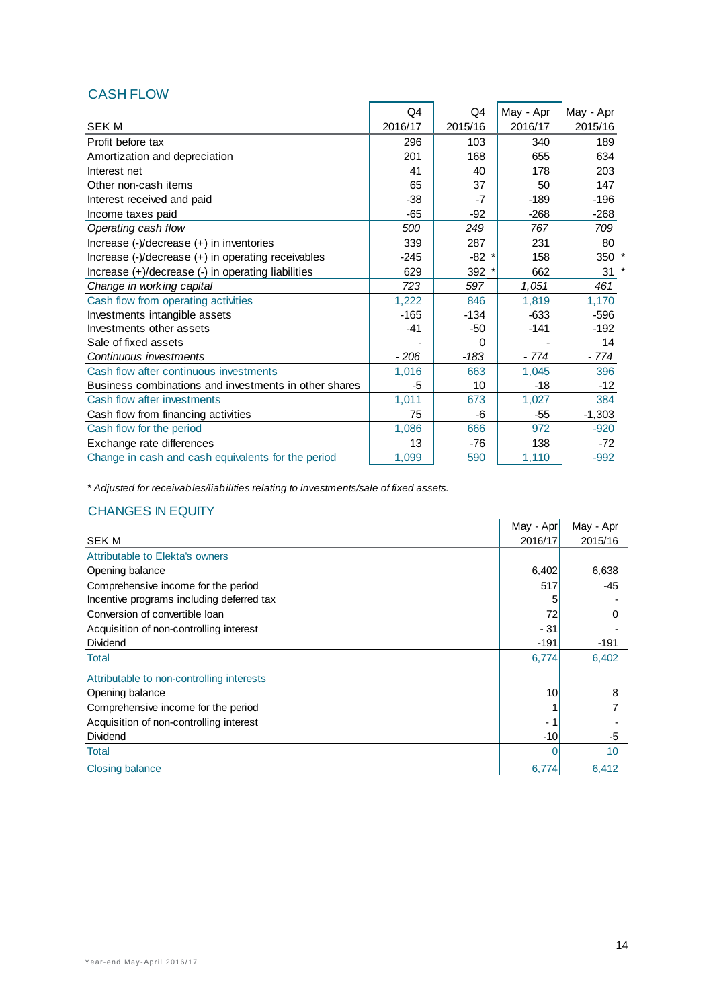## CASH FLOW

|                                                                                                  | Q <sub>4</sub> | Q4      | May - Apr | May - Apr |
|--------------------------------------------------------------------------------------------------|----------------|---------|-----------|-----------|
| <b>SEKM</b>                                                                                      | 2016/17        | 2015/16 | 2016/17   | 2015/16   |
| Profit before tax                                                                                | 296            | 103     | 340       | 189       |
| Amortization and depreciation                                                                    | 201            | 168     | 655       | 634       |
| Interest net                                                                                     | 41             | 40      | 178       | 203       |
| Other non-cash items                                                                             | 65             | 37      | 50        | 147       |
| Interest received and paid                                                                       | $-38$          | -7      | $-189$    | $-196$    |
| Income taxes paid                                                                                | -65            | $-92$   | $-268$    | $-268$    |
| Operating cash flow                                                                              | 500            | 249     | 767       | 709       |
| Increase (-)/decrease (+) in inventories                                                         | 339            | 287     | 231       | 80        |
| Increase $\left(\frac{1}{2}\right)$ decrease $\left(\frac{1}{2}\right)$ in operating receivables | -245           | $-82$ * | 158       | 350 *     |
| Increase (+)/decrease (-) in operating liabilities                                               | 629            | 392 *   | 662       | 31        |
| Change in working capital                                                                        | 723            | 597     | 1,051     | 461       |
| Cash flow from operating activities                                                              | 1,222          | 846     | 1,819     | 1,170     |
| Investments intangible assets                                                                    | -165           | $-134$  | $-633$    | $-596$    |
| Investments other assets                                                                         | $-41$          | -50     | $-141$    | $-192$    |
| Sale of fixed assets                                                                             |                | 0       |           | 14        |
| Continuous investments                                                                           | $-206$         | $-183$  | - 774     | $-774$    |
| Cash flow after continuous investments                                                           | 1,016          | 663     | 1,045     | 396       |
| Business combinations and investments in other shares                                            | -5             | 10      | -18       | $-12$     |
| Cash flow after investments                                                                      | 1,011          | 673     | 1,027     | 384       |
| Cash flow from financing activities                                                              | 75             | -6      | $-55$     | $-1,303$  |
| Cash flow for the period                                                                         | 1,086          | 666     | 972       | $-920$    |
| Exchange rate differences                                                                        | 13             | $-76$   | 138       | $-72$     |
| Change in cash and cash equivalents for the period                                               | 1,099          | 590     | 1,110     | $-992$    |

*\* Adjusted for receivables/liabilities relating to investments/sale of fixed assets.*

## CHANGES IN EQUITY

|                                           | May - Apr | May - Apr |
|-------------------------------------------|-----------|-----------|
| <b>SEKM</b>                               | 2016/17   | 2015/16   |
| Attributable to Elekta's owners           |           |           |
| Opening balance                           | 6,402     | 6,638     |
| Comprehensive income for the period       | 517       | $-45$     |
| Incentive programs including deferred tax |           |           |
| Conversion of convertible loan            | 72        | 0         |
| Acquisition of non-controlling interest   | $-31$     |           |
| <b>Dividend</b>                           | $-191$    | $-191$    |
| Total                                     | 6,774     | 6,402     |
| Attributable to non-controlling interests |           |           |
| Opening balance                           | 10        | 8         |
| Comprehensive income for the period       |           |           |
| Acquisition of non-controlling interest   | - 1       |           |
| <b>Dividend</b>                           | $-10$     | -5        |
| Total                                     |           | 10        |
| <b>Closing balance</b>                    | 6,774     | 6,412     |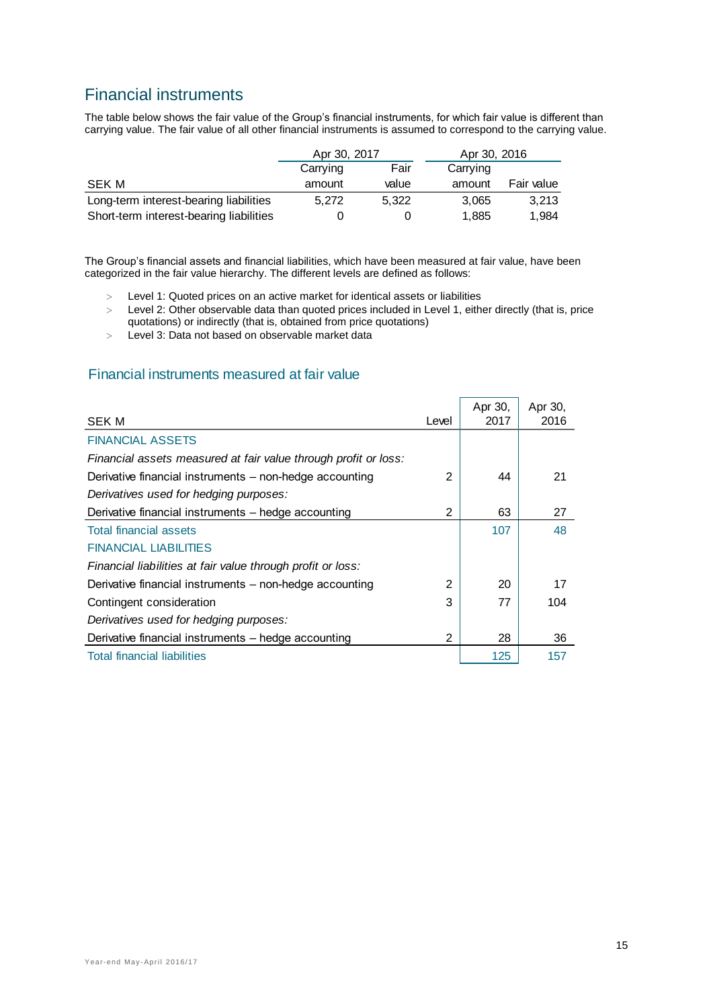# Financial instruments

The table below shows the fair value of the Group's financial instruments, for which fair value is different than carrying value. The fair value of all other financial instruments is assumed to correspond to the carrying value.

|                                         | Apr 30, 2017 |       | Apr 30, 2016 |            |
|-----------------------------------------|--------------|-------|--------------|------------|
|                                         | Carrying     | Fair  | Carrying     |            |
| SEK M                                   | amount       | value | amount       | Fair value |
| Long-term interest-bearing liabilities  | 5.272        | 5.322 | 3.065        | 3,213      |
| Short-term interest-bearing liabilities |              |       | 1.885        | 1,984      |

The Group's financial assets and financial liabilities, which have been measured at fair value, have been categorized in the fair value hierarchy. The different levels are defined as follows:

- Level 1: Quoted prices on an active market for identical assets or liabilities
- Level 2: Other observable data than quoted prices included in Level 1, either directly (that is, price quotations) or indirectly (that is, obtained from price quotations)
- Level 3: Data not based on observable market data

## Financial instruments measured at fair value

| <b>SEK M</b>                                                    | Level          | Apr 30,<br>2017 | Apr 30,<br>2016 |
|-----------------------------------------------------------------|----------------|-----------------|-----------------|
| <b>FINANCIAL ASSETS</b>                                         |                |                 |                 |
| Financial assets measured at fair value through profit or loss: |                |                 |                 |
| Derivative financial instruments - non-hedge accounting         | $\overline{2}$ | 44              | 21              |
| Derivatives used for hedging purposes:                          |                |                 |                 |
| Derivative financial instruments - hedge accounting             | 2              | 63              | 27              |
| <b>Total financial assets</b>                                   |                | 107             | 48              |
| <b>FINANCIAL LIABILITIES</b>                                    |                |                 |                 |
| Financial liabilities at fair value through profit or loss:     |                |                 |                 |
| Derivative financial instruments - non-hedge accounting         | $\mathfrak{p}$ | 20              | 17              |
| Contingent consideration                                        | 3              | 77              | 104             |
| Derivatives used for hedging purposes:                          |                |                 |                 |
| Derivative financial instruments - hedge accounting             | 2              | 28              | 36              |
| <b>Total financial liabilities</b>                              |                | 125             | 157             |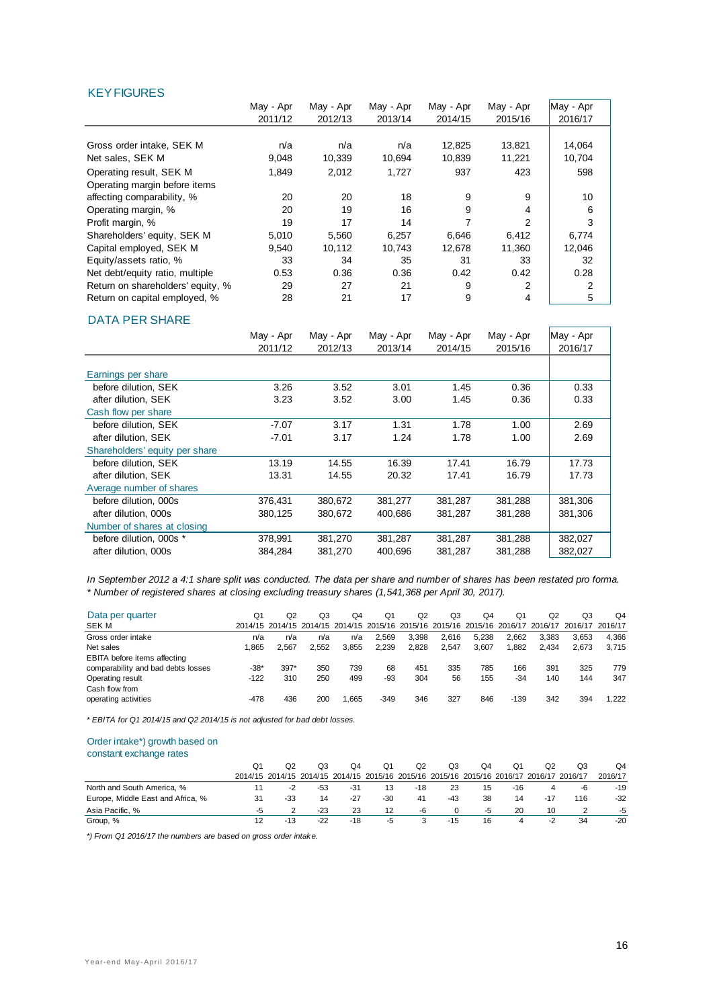#### KEY FIGURES

|                                   | May - Apr | May - Apr | May - Apr | May - Apr | May - Apr | May - Apr |
|-----------------------------------|-----------|-----------|-----------|-----------|-----------|-----------|
|                                   | 2011/12   | 2012/13   | 2013/14   | 2014/15   | 2015/16   | 2016/17   |
|                                   |           |           |           |           |           |           |
| Gross order intake, SEK M         | n/a       | n/a       | n/a       | 12,825    | 13,821    | 14,064    |
| Net sales, SEK M                  | 9,048     | 10,339    | 10,694    | 10,839    | 11,221    | 10,704    |
| Operating result, SEK M           | 1,849     | 2,012     | 1,727     | 937       | 423       | 598       |
| Operating margin before items     |           |           |           |           |           |           |
| affecting comparability, %        | 20        | 20        | 18        | 9         | 9         | 10        |
| Operating margin, %               | 20        | 19        | 16        | 9         | 4         | 6         |
| Profit margin, %                  | 19        | 17        | 14        | 7         | 2         | 3         |
| Shareholders' equity, SEK M       | 5,010     | 5,560     | 6,257     | 6,646     | 6,412     | 6,774     |
| Capital employed, SEK M           | 9,540     | 10,112    | 10,743    | 12,678    | 11.360    | 12,046    |
| Equity/assets ratio, %            | 33        | 34        | 35        | 31        | 33        | 32        |
| Net debt/equity ratio, multiple   | 0.53      | 0.36      | 0.36      | 0.42      | 0.42      | 0.28      |
| Return on shareholders' equity, % | 29        | 27        | 21        | 9         | 2         | 2         |
| Return on capital employed, %     | 28        | 21        | 17        | 9         | 4         | 5         |
|                                   |           |           |           |           |           |           |

#### DATA PER SHARE

|                                | May - Apr<br>2011/12 | May - Apr<br>2012/13 | May - Apr<br>2013/14 | May - Apr<br>2014/15 | May - Apr<br>2015/16 | May - Apr<br>2016/17 |
|--------------------------------|----------------------|----------------------|----------------------|----------------------|----------------------|----------------------|
| Earnings per share             |                      |                      |                      |                      |                      |                      |
| before dilution, SEK           | 3.26                 | 3.52                 | 3.01                 | 1.45                 | 0.36                 | 0.33                 |
| after dilution, SEK            | 3.23                 | 3.52                 | 3.00                 | 1.45                 | 0.36                 | 0.33                 |
| Cash flow per share            |                      |                      |                      |                      |                      |                      |
| before dilution. SEK           | $-7.07$              | 3.17                 | 1.31                 | 1.78                 | 1.00                 | 2.69                 |
| after dilution. SEK            | $-7.01$              | 3.17                 | 1.24                 | 1.78                 | 1.00                 | 2.69                 |
| Shareholders' equity per share |                      |                      |                      |                      |                      |                      |
| before dilution. SEK           | 13.19                | 14.55                | 16.39                | 17.41                | 16.79                | 17.73                |
| after dilution. SEK            | 13.31                | 14.55                | 20.32                | 17.41                | 16.79                | 17.73                |
| Average number of shares       |                      |                      |                      |                      |                      |                      |
| before dilution. 000s          | 376,431              | 380,672              | 381,277              | 381,287              | 381,288              | 381,306              |
| after dilution, 000s           | 380,125              | 380,672              | 400.686              | 381,287              | 381,288              | 381,306              |
| Number of shares at closing    |                      |                      |                      |                      |                      |                      |
| before dilution. 000s *        | 378,991              | 381,270              | 381,287              | 381,287              | 381,288              | 382,027              |
| after dilution, 000s           | 384,284              | 381,270              | 400.696              | 381,287              | 381,288              | 382,027              |

*\* Number of registered shares at closing excluding treasury shares (1,541,368 per April 30, 2017). In September 2012 a 4:1 share split was conducted. The data per share and number of shares has been restated pro forma.*

| Data per quarter                   | Q1     | Q2     | Q3    | Q4    | Q1     | Q2    | Q3    | Q4    | Q1     | O <sub>2</sub> | Q3                                                                                              | O <sub>4</sub> |
|------------------------------------|--------|--------|-------|-------|--------|-------|-------|-------|--------|----------------|-------------------------------------------------------------------------------------------------|----------------|
| SEK M                              |        |        |       |       |        |       |       |       |        |                | 2014/15 2014/15 2014/15 2014/15 2015/16 2015/16 2015/16 2015/16 2016/17 2016/17 2016/17 2016/17 |                |
| Gross order intake                 | n/a    | n/a    | n/a   | n/a   | 2.569  | 3.398 | 2.616 | 5.238 | 2.662  | 3.383          | 3.653                                                                                           | 4.366          |
| Net sales                          | .865   | 2.567  | 2.552 | 3.855 | 2.239  | 2.828 | 2.547 | 3.607 | ,882   | 2.434          | 2.673                                                                                           | 3.715          |
| EBITA before items affecting       |        |        |       |       |        |       |       |       |        |                |                                                                                                 |                |
| comparability and bad debts losses | $-38*$ | $397*$ | 350   | 739   | 68     | 451   | 335   | 785   | 166    | 391            | 325                                                                                             | 779            |
| Operating result                   | $-122$ | 310    | 250   | 499   | -93    | 304   | 56    | 155   | $-34$  | 140            | 144                                                                                             | 347            |
| Cash flow from                     |        |        |       |       |        |       |       |       |        |                |                                                                                                 |                |
| operating activities               | $-478$ | 436    | 200   | 1.665 | $-349$ | 346   | 327   | 846   | $-139$ | 342            | 394                                                                                             | 1.222          |
|                                    |        |        |       |       |        |       |       |       |        |                |                                                                                                 |                |

*\* EBITA for Q1 2014/15 and Q2 2014/15 is not adjusted for bad debt losses.* 

#### Order intake\*) growth based on

constant exchange rates

|                                   | O1 | O2    | O3    | O4    | Q1    | Q2                                                                                      | Q3    | Q4 | Q1    | Q2  | Q3  | O <sub>4</sub> |
|-----------------------------------|----|-------|-------|-------|-------|-----------------------------------------------------------------------------------------|-------|----|-------|-----|-----|----------------|
|                                   |    |       |       |       |       | 2014/15 2014/15 2014/15 2014/15 2015/16 2015/16 2015/16 2015/16 2016/17 2016/17 2016/17 |       |    |       |     |     | 2016/17        |
| North and South America, %        |    | -2    | -53   | $-31$ | 13    | -18                                                                                     | 23    | 15 | $-16$ | 4   | -6  | $-19$          |
| Europe, Middle East and Africa, % |    | $-33$ | 14    | $-27$ | $-30$ | 41                                                                                      | $-43$ | 38 | 14    | -17 | 116 | $-32$          |
| Asia Pacific. %                   |    |       | $-23$ | 23    | 12    | -6                                                                                      |       | -5 | 20    | 10  |     | $-5$           |
| Group, %                          |    | $-13$ | -22   | -18   | -5    |                                                                                         | $-15$ | 16 | Δ     | -2  | 34  | $-20$          |

*\*) From Q1 2016/17 the numbers are based on gross order intake.*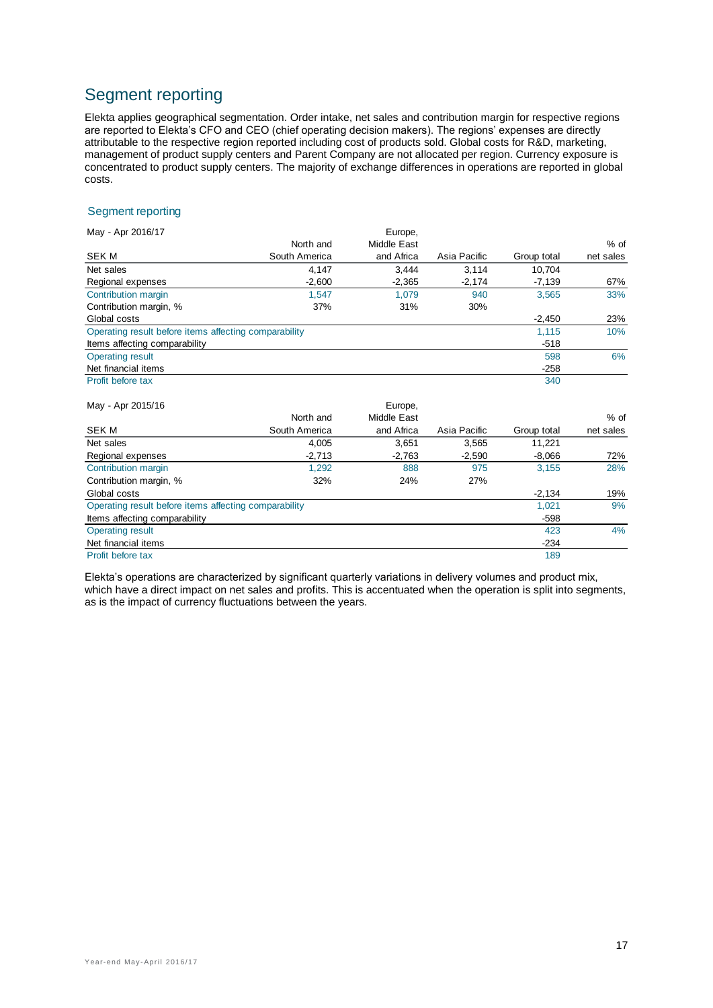# Segment reporting

Elekta applies geographical segmentation. Order intake, net sales and contribution margin for respective regions are reported to Elekta's CFO and CEO (chief operating decision makers). The regions' expenses are directly attributable to the respective region reported including cost of products sold. Global costs for R&D, marketing, management of product supply centers and Parent Company are not allocated per region. Currency exposure is concentrated to product supply centers. The majority of exchange differences in operations are reported in global costs.

#### Segment reporting

| May - Apr 2016/17                                     |               | Europe,     |              |             |           |
|-------------------------------------------------------|---------------|-------------|--------------|-------------|-----------|
|                                                       | North and     | Middle East |              |             | % of      |
| SEK M                                                 | South America | and Africa  | Asia Pacific | Group total | net sales |
| Net sales                                             | 4,147         | 3,444       | 3,114        | 10,704      |           |
| Regional expenses                                     | $-2,600$      | $-2,365$    | $-2,174$     | $-7,139$    | 67%       |
| Contribution margin                                   | 1,547         | 1,079       | 940          | 3,565       | 33%       |
| Contribution margin, %                                | 37%           | 31%         | 30%          |             |           |
| Global costs                                          |               |             |              | $-2,450$    | 23%       |
| Operating result before items affecting comparability |               |             |              | 1,115       | 10%       |
| Items affecting comparability                         |               |             |              | $-518$      |           |
| <b>Operating result</b>                               |               |             |              | 598         | 6%        |
| Net financial items                                   |               |             |              | $-258$      |           |
| Profit before tax                                     |               |             |              | 340         |           |
| May - Apr 2015/16                                     |               | Europe,     |              |             |           |
|                                                       | North and     | Middle East |              |             | % of      |
| SEK M                                                 | South America | and Africa  | Asia Pacific | Group total | net sales |
| Net sales                                             | 4,005         | 3,651       | 3,565        | 11,221      |           |
| Regional expenses                                     | $-2,713$      | $-2,763$    | $-2,590$     | $-8,066$    | 72%       |
| Contribution margin                                   | 1,292         | 888         | 975          | 3,155       | 28%       |

| Contribution margin, %                                | 32% | 24% | 27% |          |     |
|-------------------------------------------------------|-----|-----|-----|----------|-----|
| Global costs                                          |     |     |     | $-2.134$ | 19% |
| Operating result before items affecting comparability |     |     |     | 1.021    | 9%  |
| Items affecting comparability                         |     |     |     | $-598$   |     |
| <b>Operating result</b>                               |     |     |     | 423      | 4%  |
| Net financial items                                   |     |     |     | $-234$   |     |
| Profit before tax                                     |     |     |     | 189      |     |

Elekta's operations are characterized by significant quarterly variations in delivery volumes and product mix, which have a direct impact on net sales and profits. This is accentuated when the operation is split into segments, as is the impact of currency fluctuations between the years.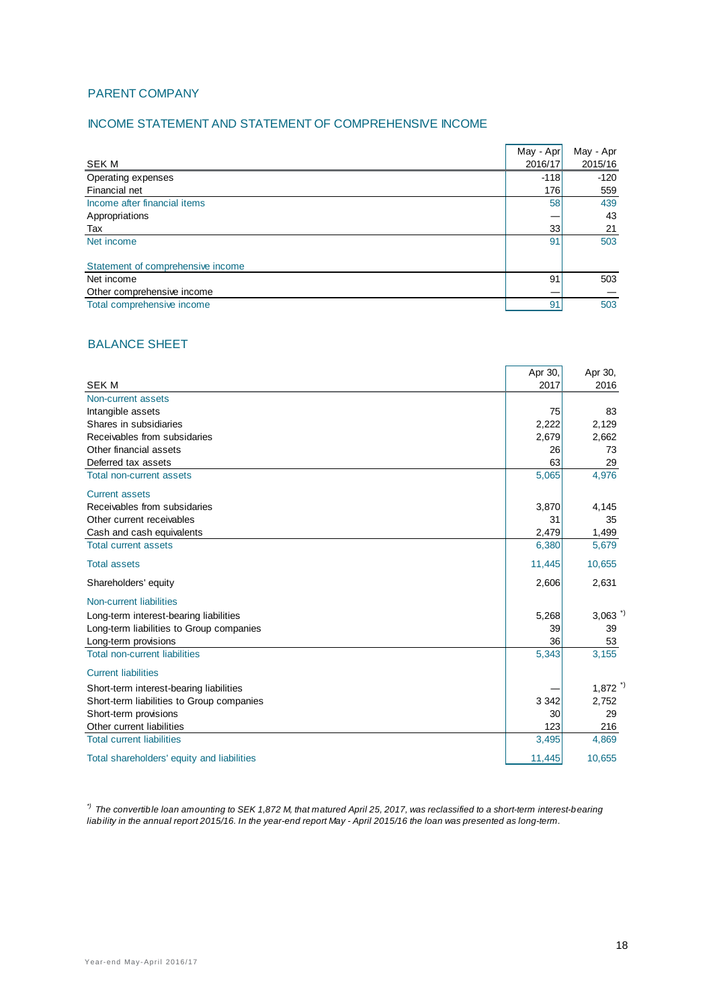#### PARENT COMPANY

#### INCOME STATEMENT AND STATEMENT OF COMPREHENSIVE INCOME

|                                   | May - Apr | May - Apr |
|-----------------------------------|-----------|-----------|
| <b>SEK M</b>                      | 2016/17   | 2015/16   |
| Operating expenses                | $-118$    | $-120$    |
| Financial net                     | 176       | 559       |
| Income after financial items      | <b>58</b> | 439       |
| Appropriations                    |           | 43        |
| Tax                               | 33        | 21        |
| Net income                        | 91        | 503       |
|                                   |           |           |
| Statement of comprehensive income |           |           |
| Net income                        | 91        | 503       |
| Other comprehensive income        |           |           |
| Total comprehensive income        | 91        | 503       |

#### BALANCE SHEET

|                                            | Apr 30, | Apr 30,               |
|--------------------------------------------|---------|-----------------------|
| <b>SEK M</b>                               | 2017    | 2016                  |
| Non-current assets                         |         |                       |
| Intangible assets                          | 75      | 83                    |
| Shares in subsidiaries                     | 2,222   | 2,129                 |
| Receivables from subsidaries               | 2.679   | 2,662                 |
| Other financial assets                     | 26      | 73                    |
| Deferred tax assets                        | 63      | 29                    |
| <b>Total non-current assets</b>            | 5,065   | 4,976                 |
| <b>Current assets</b>                      |         |                       |
| Receivables from subsidaries               | 3,870   | 4,145                 |
| Other current receivables                  | 31      | 35                    |
| Cash and cash equivalents                  | 2,479   | 1,499                 |
| <b>Total current assets</b>                | 6,380   | 5,679                 |
| <b>Total assets</b>                        | 11,445  | 10,655                |
| Shareholders' equity                       | 2,606   | 2,631                 |
| Non-current liabilities                    |         |                       |
| Long-term interest-bearing liabilities     | 5,268   | $3,063$ <sup>*)</sup> |
| Long-term liabilities to Group companies   | 39      | 39                    |
| Long-term provisions                       | 36      | 53                    |
| <b>Total non-current liabilities</b>       | 5,343   | 3,155                 |
| <b>Current liabilities</b>                 |         |                       |
| Short-term interest-bearing liabilities    |         | $1,872$ <sup>*)</sup> |
| Short-term liabilities to Group companies  | 3 3 4 2 | 2,752                 |
| Short-term provisions                      | 30      | 29                    |
| Other current liabilities                  | 123     | 216                   |
| <b>Total current liabilities</b>           | 3,495   | 4,869                 |
| Total shareholders' equity and liabilities | 11,445  | 10,655                |

*\*) The convertible loan amounting to SEK 1,872 M, that matured April 25, 2017, was reclassified to a short-term interest-bearing liability in the annual report 2015/16. In the year-end report May - April 2015/16 the loan was presented as long-term.*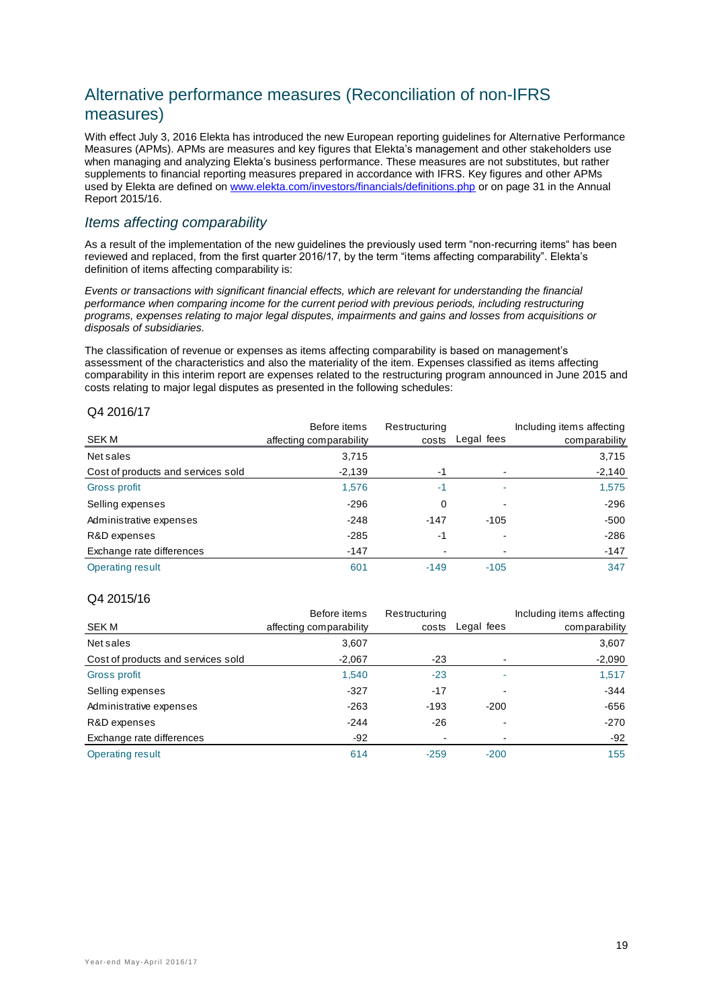# Alternative performance measures (Reconciliation of non-IFRS measures)

With effect July 3, 2016 Elekta has introduced the new European reporting guidelines for Alternative Performance Measures (APMs). APMs are measures and key figures that Elekta's management and other stakeholders use when managing and analyzing Elekta's business performance. These measures are not substitutes, but rather supplements to financial reporting measures prepared in accordance with IFRS. Key figures and other APMs used by Elekta are defined on [www.elekta.com/investors/financials/definitions.php](http://www.elekta.com/investors/financials/definitions.php) or on page 31 in the Annual Report 2015/16.

## *Items affecting comparability*

As a result of the implementation of the new guidelines the previously used term "non-recurring items" has been reviewed and replaced, from the first quarter 2016/17, by the term "items affecting comparability". Elekta's definition of items affecting comparability is:

*Events or transactions with significant financial effects, which are relevant for understanding the financial performance when comparing income for the current period with previous periods, including restructuring programs, expenses relating to major legal disputes, impairments and gains and losses from acquisitions or disposals of subsidiaries.*

The classification of revenue or expenses as items affecting comparability is based on management's assessment of the characteristics and also the materiality of the item. Expenses classified as items affecting comparability in this interim report are expenses related to the restructuring program announced in June 2015 and costs relating to major legal disputes as presented in the following schedules:

#### Q4 2016/17

|                                    | Before items            | Restructuring |            | Including items affecting |
|------------------------------------|-------------------------|---------------|------------|---------------------------|
| <b>SEKM</b>                        | affecting comparability | costs         | Legal fees | comparability             |
| Net sales                          | 3,715                   |               |            | 3,715                     |
| Cost of products and services sold | $-2,139$                | -1            |            | $-2,140$                  |
| Gross profit                       | 1,576                   | -1            | ۰          | 1,575                     |
| Selling expenses                   | $-296$                  | 0             |            | $-296$                    |
| Administrative expenses            | $-248$                  | $-147$        | $-105$     | $-500$                    |
| R&D expenses                       | $-285$                  | -1            |            | $-286$                    |
| Exchange rate differences          | $-147$                  |               |            | $-147$                    |
| Operating result                   | 601                     | $-149$        | $-105$     | 347                       |

#### Q4 2015/16

|                                    | Before items            | Restructuring |            | Including items affecting |
|------------------------------------|-------------------------|---------------|------------|---------------------------|
| <b>SEK M</b>                       | affecting comparability | costs         | Legal fees | comparability             |
| Net sales                          | 3,607                   |               |            | 3,607                     |
| Cost of products and services sold | $-2,067$                | $-23$         |            | $-2,090$                  |
| Gross profit                       | 1,540                   | $-23$         |            | 1,517                     |
| Selling expenses                   | $-327$                  | $-17$         |            | $-344$                    |
| Administrative expenses            | $-263$                  | $-193$        | $-200$     | $-656$                    |
| R&D expenses                       | $-244$                  | $-26$         |            | $-270$                    |
| Exchange rate differences          | $-92$                   |               |            | $-92$                     |
| Operating result                   | 614                     | $-259$        | $-200$     | 155                       |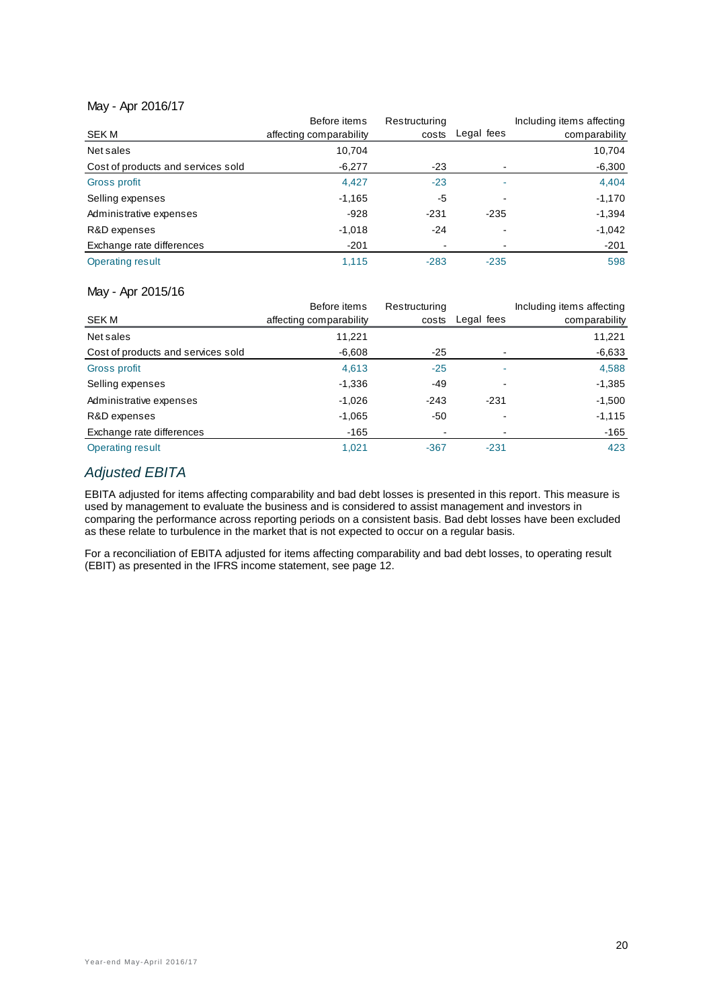#### May - Apr 2016/17

|                                    | Before items            | Restructuring |            | Including items affecting |
|------------------------------------|-------------------------|---------------|------------|---------------------------|
| SEK M                              | affecting comparability | costs         | Legal fees | comparability             |
| Net sales                          | 10.704                  |               |            | 10,704                    |
| Cost of products and services sold | $-6,277$                | -23           |            | $-6,300$                  |
| Gross profit                       | 4,427                   | $-23$         |            | 4,404                     |
| Selling expenses                   | $-1,165$                | -5            |            | $-1,170$                  |
| Administrative expenses            | $-928$                  | $-231$        | $-235$     | $-1,394$                  |
| R&D expenses                       | $-1,018$                | $-24$         |            | $-1,042$                  |
| Exchange rate differences          | $-201$                  |               |            | $-201$                    |
| <b>Operating result</b>            | 1,115                   | $-283$        | $-235$     | 598                       |

#### May - Apr 2015/16

|                                    | Before items            | Restructuring |            | Including items affecting |
|------------------------------------|-------------------------|---------------|------------|---------------------------|
| <b>SEK M</b>                       | affecting comparability | costs         | Legal fees | comparability             |
| Net sales                          | 11,221                  |               |            | 11,221                    |
| Cost of products and services sold | $-6,608$                | $-25$         |            | $-6,633$                  |
| Gross profit                       | 4,613                   | $-25$         | ۰          | 4,588                     |
| Selling expenses                   | $-1,336$                | $-49$         |            | $-1,385$                  |
| Administrative expenses            | $-1,026$                | $-243$        | $-231$     | $-1,500$                  |
| R&D expenses                       | $-1,065$                | -50           |            | $-1,115$                  |
| Exchange rate differences          | $-165$                  | -             |            | $-165$                    |
| Operating result                   | 1,021                   | $-367$        | $-231$     | 423                       |

## *Adjusted EBITA*

EBITA adjusted for items affecting comparability and bad debt losses is presented in this report. This measure is used by management to evaluate the business and is considered to assist management and investors in comparing the performance across reporting periods on a consistent basis. Bad debt losses have been excluded as these relate to turbulence in the market that is not expected to occur on a regular basis.

For a reconciliation of EBITA adjusted for items affecting comparability and bad debt losses, to operating result (EBIT) as presented in the IFRS income statement, see page 12.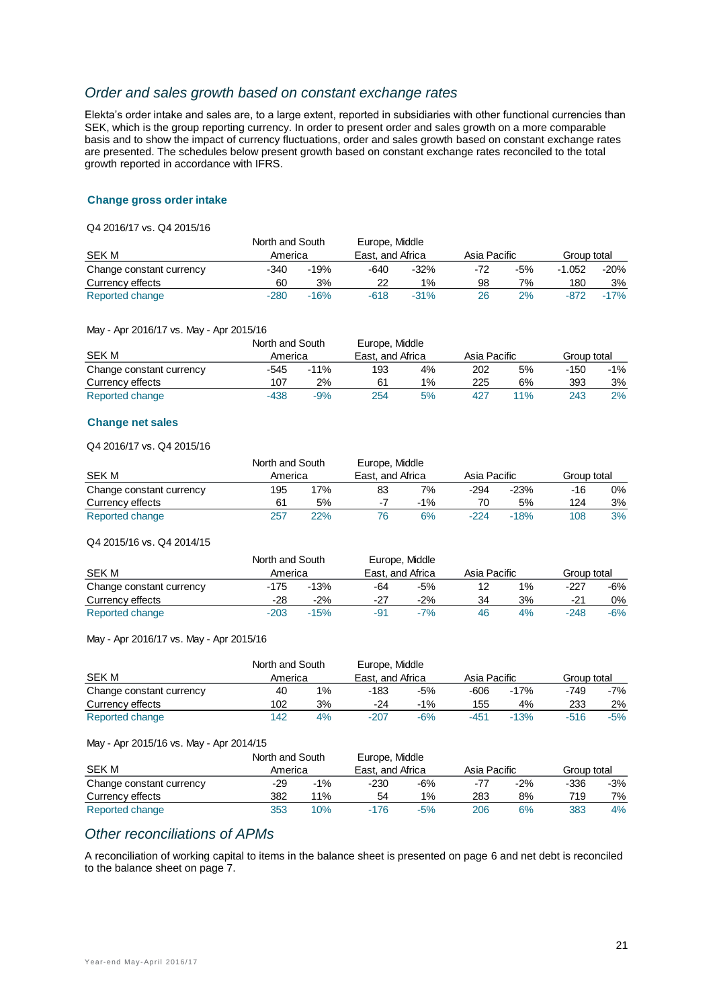#### *Order and sales growth based on constant exchange rates*

Elekta's order intake and sales are, to a large extent, reported in subsidiaries with other functional currencies than SEK, which is the group reporting currency. In order to present order and sales growth on a more comparable basis and to show the impact of currency fluctuations, order and sales growth based on constant exchange rates are presented. The schedules below present growth based on constant exchange rates reconciled to the total growth reported in accordance with IFRS.

#### **Change gross order intake**

Q4 2016/17 vs. Q4 2015/16

|                          | Europe, Middle<br>North and South |        |                  |        |              |       |             |        |
|--------------------------|-----------------------------------|--------|------------------|--------|--------------|-------|-------------|--------|
| SEK M                    | America                           |        | East, and Africa |        | Asia Pacific |       | Group total |        |
| Change constant currency | $-340$                            | $-19%$ | -640             | $-32%$ | -72          | $-5%$ | -1.052      | -20%   |
| Currency effects         | 60                                | 3%     | 22               | $1\%$  | 98           | 7%    | 180         | 3%     |
| Reported change          | $-280$                            | $-16%$ | $-618$           | $-31%$ | 26           | 2%    | $-872$      | $-17%$ |

#### May - Apr 2016/17 vs. May - Apr 2015/16

|                          | North and South |        | Europe, Middle   |    |              |     |             |        |
|--------------------------|-----------------|--------|------------------|----|--------------|-----|-------------|--------|
| SEK M                    | America         |        | East, and Africa |    | Asia Pacific |     | Group total |        |
| Change constant currency | -545            | $-11%$ | 193              | 4% | 202          | 5%  | -150        | $-1\%$ |
| Currency effects         | 107             | 2%     | 61               | 1% | 225          | 6%  | 393         | 3%     |
| Reported change          | $-438$          | $-9%$  | 254              | 5% | 427          | 11% | 243         | 2%     |

#### **Change net sales**

Q4 2016/17 vs. Q4 2015/16

|                          | North and South |     | Europe, Middle   |        |              |        |             |    |
|--------------------------|-----------------|-----|------------------|--------|--------------|--------|-------------|----|
| <b>SEK M</b>             | America         |     | East, and Africa |        | Asia Pacific |        | Group total |    |
| Change constant currency | 195             | 7%  | 83               | 7%     | $-294$       | -23%   | -16         | 0% |
| Currency effects         | 61              | 5%  | $-7$             | $-1\%$ | 70           | 5%     | 124         | 3% |
| Reported change          | 257             | 22% |                  | 6%     | $-224$       | $-18%$ | 108         | 3% |

#### Q4 2015/16 vs. Q4 2014/15

|                          | North and South |        |                  | Europe, Middle |              |    |             |       |
|--------------------------|-----------------|--------|------------------|----------------|--------------|----|-------------|-------|
| SEK M                    | America         |        | East, and Africa |                | Asia Pacific |    | Group total |       |
| Change constant currency | -175            | $-13%$ | -64              | $-5%$          |              | 1% | -227        | -6%   |
| Currency effects         | -28             | $-2%$  | -27              | $-2%$          | 34           | 3% | $-21$       | 0%    |
| Reported change          | $-203$          | $-15%$ | -91              | $-7%$          | 46           | 4% | $-248$      | $-6%$ |

#### May - Apr 2016/17 vs. May - Apr 2015/16

| North and South          |         | Europe, Middle |                  |        |              |        |             |       |
|--------------------------|---------|----------------|------------------|--------|--------------|--------|-------------|-------|
| <b>SEK M</b>             | America |                | East, and Africa |        | Asia Pacific |        | Group total |       |
| Change constant currency | 40      | 1%             | -183             | -5%    | -606         | $-17%$ | -749        | -7%   |
| Currency effects         | 102     | 3%             | -24              | $-1\%$ | 155          | 4%     | 233         | 2%    |
| Reported change          | 142     | 4%             | $-207$           | $-6%$  | $-451$       | $-13%$ | $-516$      | $-5%$ |

#### May - Apr 2015/16 vs. May - Apr 2014/15

|                          | North and South |        | Europe, Middle   |       |              |       |             |     |
|--------------------------|-----------------|--------|------------------|-------|--------------|-------|-------------|-----|
| <b>SEK M</b>             | America         |        | East, and Africa |       | Asia Pacific |       | Group total |     |
| Change constant currency | -29             | $-1\%$ | $-230$           | $-6%$ | -77          | $-2%$ | -336        | -3% |
| Currency effects         | 382             | 11%    | 54               | $1\%$ | 283          | 8%    | 719         | 7%  |
| Reported change          | 353             | 10%    | $-176$           | $-5%$ | 206          | 6%    | 383         | 4%  |

#### *Other reconciliations of APMs*

A reconciliation of working capital to items in the balance sheet is presented on page 6 and net debt is reconciled to the balance sheet on page 7.